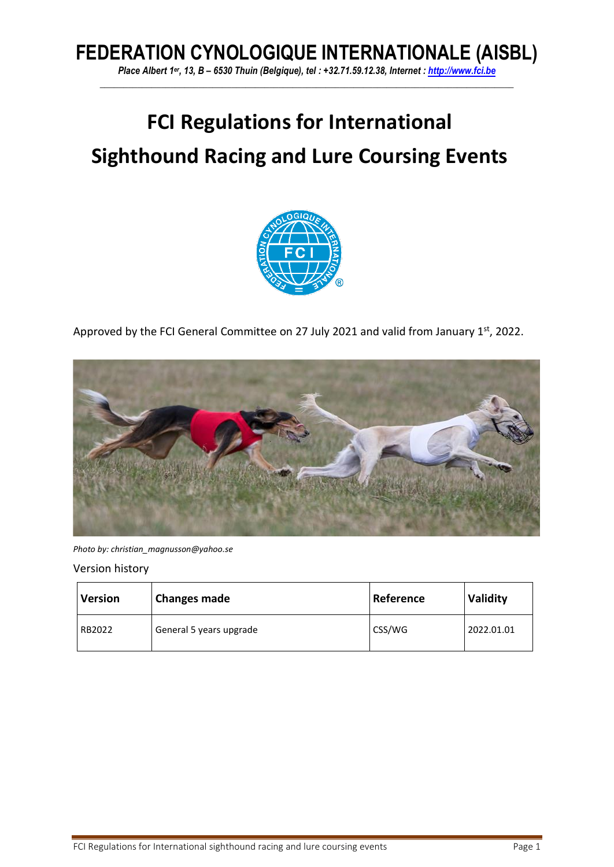# **FEDERATION CYNOLOGIQUE INTERNATIONALE (AISBL)**

*Place Albert 1er, 13, B – 6530 Thuin (Belgique), tel : +32.71.59.12.38, Internet : [http://www.fci.be](http://www.fci.be/) \_\_\_\_\_\_\_\_\_\_\_\_\_\_\_\_\_\_\_\_\_\_\_\_\_\_\_\_\_\_\_\_\_\_\_\_\_\_\_\_\_\_\_\_\_\_\_\_\_\_\_\_\_\_\_\_\_\_\_\_\_\_\_\_\_\_\_\_\_\_\_\_\_\_\_\_\_\_\_\_\_\_\_\_\_\_\_\_*

# **FCI Regulations for International Sighthound Racing and Lure Coursing Events**



Approved by the FCI General Committee on 27 July 2021 and valid from January 1<sup>st</sup>, 2022.



*Photo by: christian\_magnusson@yahoo.se*

Version history

| <b>Version</b> | <b>Changes made</b>     | Reference | Validity   |
|----------------|-------------------------|-----------|------------|
| RB2022         | General 5 years upgrade | CSS/WG    | 2022.01.01 |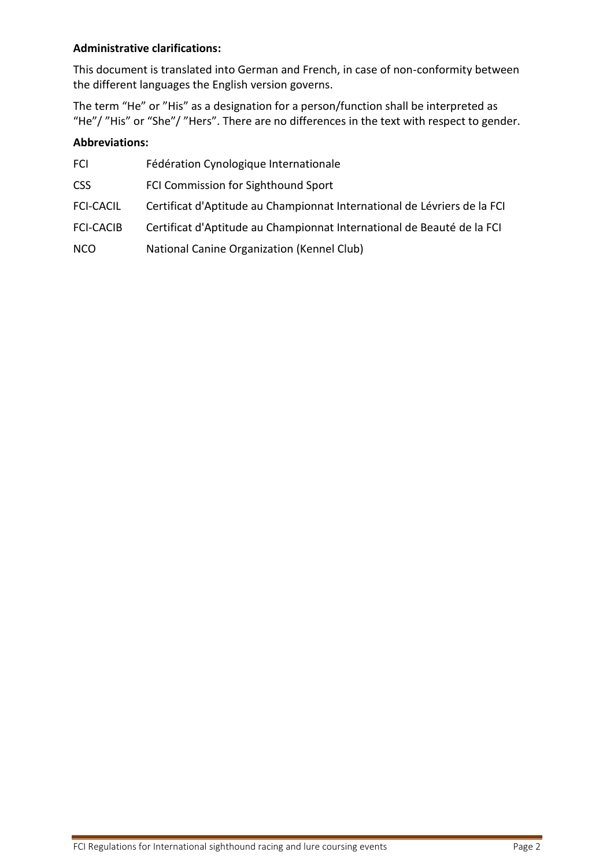#### **Administrative clarifications:**

This document is translated into German and French, in case of non-conformity between the different languages the English version governs.

The term "He" or "His" as a designation for a person/function shall be interpreted as "He"/ "His" or "She"/ "Hers". There are no differences in the text with respect to gender.

#### **Abbreviations:**

| <b>FCI</b>       | Fédération Cynologique Internationale                                    |
|------------------|--------------------------------------------------------------------------|
| <b>CSS</b>       | FCI Commission for Sighthound Sport                                      |
| <b>FCI-CACIL</b> | Certificat d'Aptitude au Championnat International de Lévriers de la FCI |
| <b>FCI-CACIB</b> | Certificat d'Aptitude au Championnat International de Beauté de la FCI   |
| <b>NCO</b>       | National Canine Organization (Kennel Club)                               |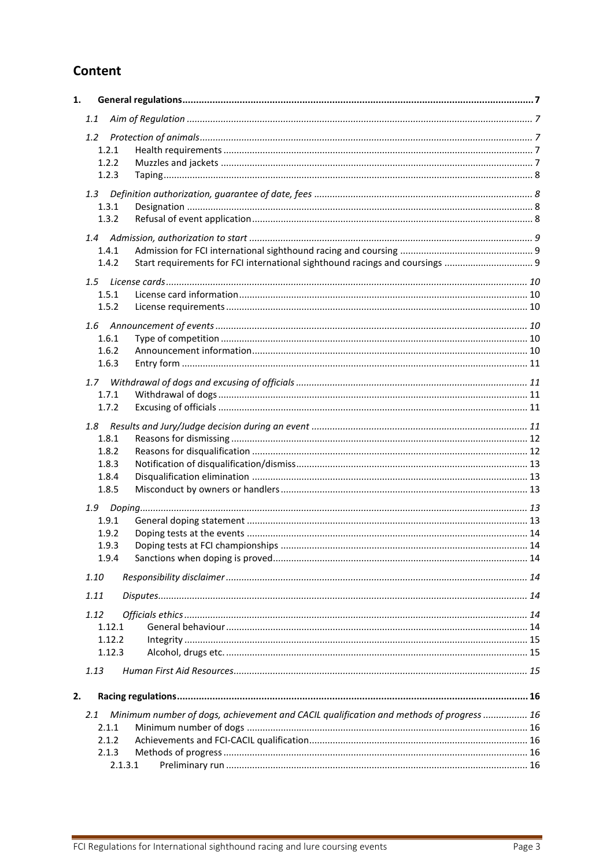# Content

| 1. |                                                                                                |  |
|----|------------------------------------------------------------------------------------------------|--|
|    | 1.1                                                                                            |  |
|    | $1.2^{\circ}$                                                                                  |  |
|    | 1.2.1                                                                                          |  |
|    | 1.2.2                                                                                          |  |
|    | 1.2.3                                                                                          |  |
|    |                                                                                                |  |
|    | 1.3.1                                                                                          |  |
|    | 1.3.2                                                                                          |  |
|    |                                                                                                |  |
|    | 1.4.1                                                                                          |  |
|    | 1.4.2                                                                                          |  |
|    |                                                                                                |  |
|    |                                                                                                |  |
|    | 1.5.1<br>1.5.2                                                                                 |  |
|    |                                                                                                |  |
|    |                                                                                                |  |
|    | 1.6.1                                                                                          |  |
|    | 1.6.2                                                                                          |  |
|    | 1.6.3                                                                                          |  |
|    |                                                                                                |  |
|    | 1.7.1                                                                                          |  |
|    | 1.7.2                                                                                          |  |
|    | 1.8                                                                                            |  |
|    | 1.8.1                                                                                          |  |
|    | 1.8.2                                                                                          |  |
|    | 1.8.3                                                                                          |  |
|    | 1.8.4                                                                                          |  |
|    | 1.8.5                                                                                          |  |
|    |                                                                                                |  |
|    | 1.9.1                                                                                          |  |
|    | 1.9.2                                                                                          |  |
|    | 1.9.3                                                                                          |  |
|    | 1.9.4                                                                                          |  |
|    | 1.10                                                                                           |  |
|    | 1.11                                                                                           |  |
|    |                                                                                                |  |
|    | 1.12<br>1.12.1                                                                                 |  |
|    | 1.12.2                                                                                         |  |
|    | 1.12.3                                                                                         |  |
|    |                                                                                                |  |
|    | 1.13                                                                                           |  |
| 2. |                                                                                                |  |
|    | Minimum number of dogs, achievement and CACIL qualification and methods of progress  16<br>2.1 |  |
|    | 2.1.1                                                                                          |  |
|    | 2.1.2                                                                                          |  |
|    | 2.1.3                                                                                          |  |
|    | 2.1.3.1                                                                                        |  |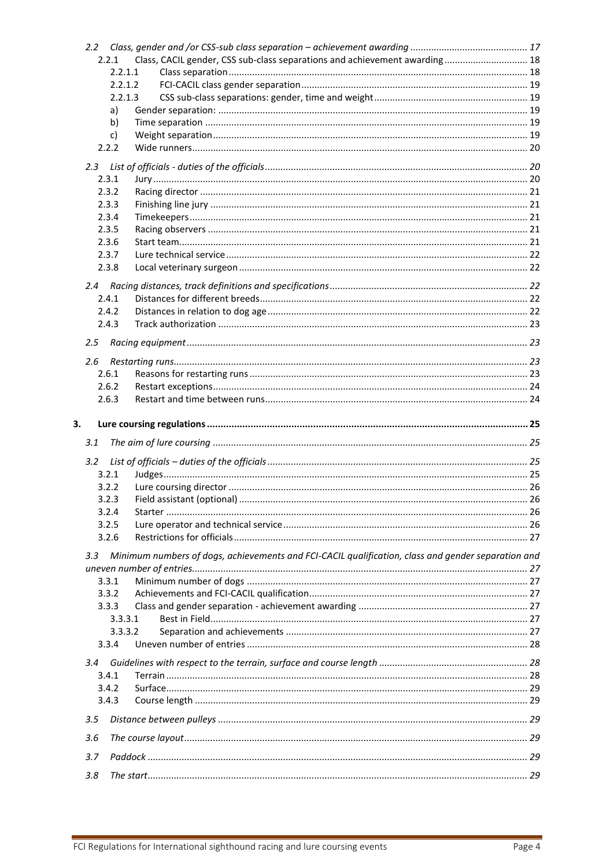| 2.2.1            |         | Class, CACIL gender, CSS sub-class separations and achievement awarding 18                         |  |
|------------------|---------|----------------------------------------------------------------------------------------------------|--|
|                  | 2.2.1.1 |                                                                                                    |  |
|                  | 2.2.1.2 |                                                                                                    |  |
|                  | 2.2.1.3 |                                                                                                    |  |
|                  | a)      |                                                                                                    |  |
|                  | b)      |                                                                                                    |  |
|                  | c)      |                                                                                                    |  |
| 2.2.2            |         |                                                                                                    |  |
| $2.3^{\circ}$    |         |                                                                                                    |  |
| 2.3.1            |         |                                                                                                    |  |
| 2.3.2            |         |                                                                                                    |  |
| 2.3.3            |         |                                                                                                    |  |
| 2.3.4            |         |                                                                                                    |  |
| 2.3.5            |         |                                                                                                    |  |
| 2.3.6            |         |                                                                                                    |  |
| 2.3.7            |         |                                                                                                    |  |
| 2.3.8            |         |                                                                                                    |  |
|                  |         |                                                                                                    |  |
| 2.4.1            |         |                                                                                                    |  |
|                  |         |                                                                                                    |  |
| 2.4.2<br>2.4.3   |         |                                                                                                    |  |
|                  |         |                                                                                                    |  |
| 2.5              |         |                                                                                                    |  |
| 2.6              |         |                                                                                                    |  |
| 2.6.1            |         |                                                                                                    |  |
| 2.6.2            |         |                                                                                                    |  |
| 2.6.3            |         |                                                                                                    |  |
|                  |         |                                                                                                    |  |
|                  |         |                                                                                                    |  |
|                  |         |                                                                                                    |  |
|                  |         |                                                                                                    |  |
| 3.1              |         |                                                                                                    |  |
| 3.2 <sub>2</sub> |         |                                                                                                    |  |
| 3.2.1            |         |                                                                                                    |  |
| 3.2.2            |         |                                                                                                    |  |
| 3.2.3            |         |                                                                                                    |  |
| 3.2.4            |         |                                                                                                    |  |
| 3.2.5            |         |                                                                                                    |  |
| 3.2.6            |         |                                                                                                    |  |
| 3.3              |         |                                                                                                    |  |
|                  |         | Minimum numbers of dogs, achievements and FCI-CACIL qualification, class and gender separation and |  |
| 3.3.1            |         |                                                                                                    |  |
| 3.3.2            |         |                                                                                                    |  |
| 3.3.3            |         |                                                                                                    |  |
|                  | 3.3.3.1 |                                                                                                    |  |
|                  | 3.3.3.2 |                                                                                                    |  |
| 3.3.4            |         |                                                                                                    |  |
|                  |         |                                                                                                    |  |
| 3.4              |         |                                                                                                    |  |
| 3.4.1            |         |                                                                                                    |  |
| 3.4.2            |         |                                                                                                    |  |
| 3.4.3            |         |                                                                                                    |  |
| 3.5              |         |                                                                                                    |  |
|                  |         |                                                                                                    |  |
| 3.6              |         |                                                                                                    |  |
| 3.<br>3.7        |         |                                                                                                    |  |
| 3.8              |         |                                                                                                    |  |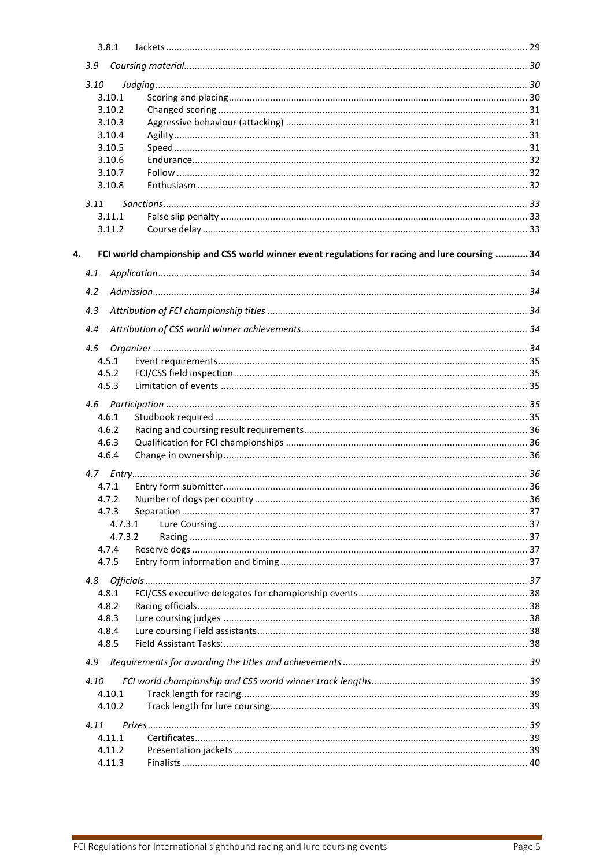|    | 3.8.1 |         |                                                                                                |  |
|----|-------|---------|------------------------------------------------------------------------------------------------|--|
|    |       |         |                                                                                                |  |
|    | 3.10  |         |                                                                                                |  |
|    |       | 3.10.1  |                                                                                                |  |
|    |       | 3.10.2  |                                                                                                |  |
|    |       | 3.10.3  |                                                                                                |  |
|    |       | 3.10.4  |                                                                                                |  |
|    |       | 3.10.5  |                                                                                                |  |
|    |       | 3.10.6  |                                                                                                |  |
|    |       | 3.10.7  |                                                                                                |  |
|    |       | 3.10.8  |                                                                                                |  |
|    | 3.11  |         |                                                                                                |  |
|    |       | 3.11.1  |                                                                                                |  |
|    |       | 3.11.2  |                                                                                                |  |
| 4. |       |         | FCI world championship and CSS world winner event regulations for racing and lure coursing  34 |  |
|    | 4.1   |         |                                                                                                |  |
|    | 4.2   |         |                                                                                                |  |
|    |       |         |                                                                                                |  |
|    | 4.3   |         |                                                                                                |  |
|    | 4.4   |         |                                                                                                |  |
|    | 4.5   |         |                                                                                                |  |
|    | 4.5.1 |         |                                                                                                |  |
|    | 4.5.2 |         |                                                                                                |  |
|    | 4.5.3 |         |                                                                                                |  |
|    |       |         |                                                                                                |  |
|    | 4.6.1 |         |                                                                                                |  |
|    | 4.6.2 |         |                                                                                                |  |
|    | 4.6.3 |         |                                                                                                |  |
|    | 4.6.4 |         |                                                                                                |  |
|    |       |         |                                                                                                |  |
|    | 4.7.1 |         |                                                                                                |  |
|    | 4.7.2 |         |                                                                                                |  |
|    | 4.7.3 |         |                                                                                                |  |
|    |       | 4.7.3.1 |                                                                                                |  |
|    |       | 4.7.3.2 |                                                                                                |  |
|    | 4.7.4 |         |                                                                                                |  |
|    | 4.7.5 |         |                                                                                                |  |
|    | 4.8   |         |                                                                                                |  |
|    | 4.8.1 |         |                                                                                                |  |
|    | 4.8.2 |         |                                                                                                |  |
|    | 4.8.3 |         |                                                                                                |  |
|    | 4.8.4 |         |                                                                                                |  |
|    | 4.8.5 |         |                                                                                                |  |
|    | 4.9   |         |                                                                                                |  |
|    | 4.10  |         |                                                                                                |  |
|    |       | 4.10.1  |                                                                                                |  |
|    |       | 4.10.2  |                                                                                                |  |
|    | 4.11  |         |                                                                                                |  |
|    |       | 4.11.1  |                                                                                                |  |
|    |       | 4.11.2  |                                                                                                |  |
|    |       | 4.11.3  |                                                                                                |  |
|    |       |         |                                                                                                |  |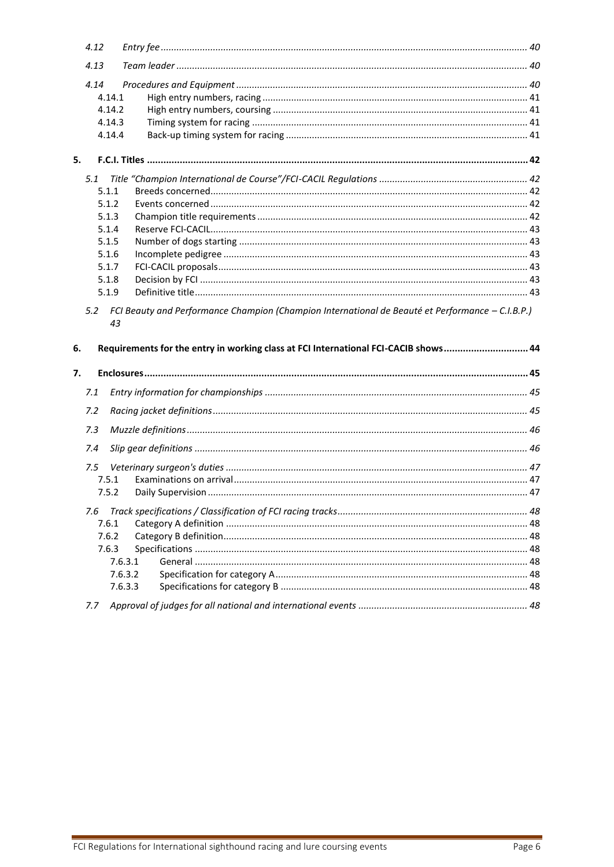|    | 4.12           |                                                                                                  |  |
|----|----------------|--------------------------------------------------------------------------------------------------|--|
|    | 4.13           |                                                                                                  |  |
|    | 4.14           |                                                                                                  |  |
|    | 4.14.1         |                                                                                                  |  |
|    | 4.14.2         |                                                                                                  |  |
|    | 4.14.3         |                                                                                                  |  |
|    | 4.14.4         |                                                                                                  |  |
| 5. |                |                                                                                                  |  |
|    | 5.1            |                                                                                                  |  |
|    | 5.1.1          |                                                                                                  |  |
|    | 5.1.2          |                                                                                                  |  |
|    | 5.1.3          |                                                                                                  |  |
|    | 5.1.4          |                                                                                                  |  |
|    | 5.1.5          |                                                                                                  |  |
|    | 5.1.6          |                                                                                                  |  |
|    | 5.1.7          |                                                                                                  |  |
|    | 5.1.8          |                                                                                                  |  |
|    | 5.1.9          |                                                                                                  |  |
|    | 5.2<br>43      | FCI Beauty and Performance Champion (Champion International de Beauté et Performance - C.I.B.P.) |  |
| 6. |                | Requirements for the entry in working class at FCI International FCI-CACIB shows44               |  |
| 7. |                |                                                                                                  |  |
|    | 7.1            |                                                                                                  |  |
|    | 7.2            |                                                                                                  |  |
|    | 7.3            |                                                                                                  |  |
|    | 7.4            |                                                                                                  |  |
|    |                |                                                                                                  |  |
|    | 7.5            |                                                                                                  |  |
|    | 7.5.1<br>7.5.2 |                                                                                                  |  |
|    | 7.6            |                                                                                                  |  |
|    | 7.6.1          |                                                                                                  |  |
|    | 7.6.2          |                                                                                                  |  |
|    | 7.6.3          |                                                                                                  |  |
|    |                | 7.6.3.1                                                                                          |  |
|    |                | 7.6.3.2                                                                                          |  |
|    |                | 7.6.3.3                                                                                          |  |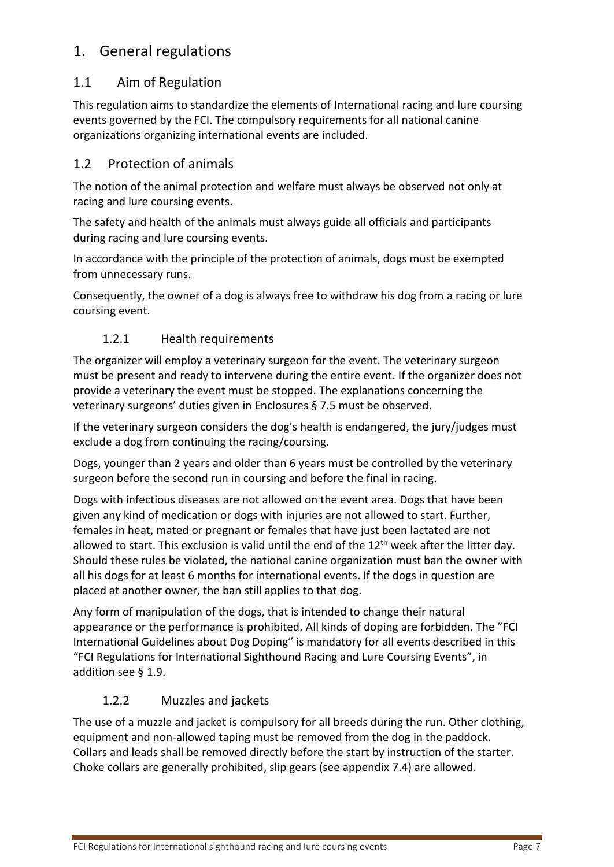# <span id="page-6-0"></span>1. General regulations

# <span id="page-6-1"></span>1.1 Aim of Regulation

This regulation aims to standardize the elements of International racing and lure coursing events governed by the FCI. The compulsory requirements for all national canine organizations organizing international events are included.

# <span id="page-6-2"></span>1.2 Protection of animals

The notion of the animal protection and welfare must always be observed not only at racing and lure coursing events.

The safety and health of the animals must always guide all officials and participants during racing and lure coursing events.

In accordance with the principle of the protection of animals, dogs must be exempted from unnecessary runs.

Consequently, the owner of a dog is always free to withdraw his dog from a racing or lure coursing event.

# 1.2.1 Health requirements

<span id="page-6-3"></span>The organizer will employ a veterinary surgeon for the event. The veterinary surgeon must be present and ready to intervene during the entire event. If the organizer does not provide a veterinary the event must be stopped. The explanations concerning the veterinary surgeons' duties given in Enclosures § [7.5](#page-46-0) must be observed.

If the veterinary surgeon considers the dog's health is endangered, the jury/judges must exclude a dog from continuing the racing/coursing.

Dogs, younger than 2 years and older than 6 years must be controlled by the veterinary surgeon before the second run in coursing and before the final in racing.

Dogs with infectious diseases are not allowed on the event area. Dogs that have been given any kind of medication or dogs with injuries are not allowed to start. Further, females in heat, mated or pregnant or females that have just been lactated are not allowed to start. This exclusion is valid until the end of the  $12<sup>th</sup>$  week after the litter day. Should these rules be violated, the national canine organization must ban the owner with all his dogs for at least 6 months for international events. If the dogs in question are placed at another owner, the ban still applies to that dog.

Any form of manipulation of the dogs, that is intended to change their natural appearance or the performance is prohibited. All kinds of doping are forbidden. The "FCI International Guidelines about Dog Doping" is mandatory for all events described in this "FCI Regulations for International Sighthound Racing and Lure Coursing Events", in addition see § [1.9.](#page-12-3)

## 1.2.2 Muzzles and jackets

<span id="page-6-4"></span>The use of a muzzle and jacket is compulsory for all breeds during the run. Other clothing, equipment and non-allowed taping must be removed from the dog in the paddock. Collars and leads shall be removed directly before the start by instruction of the starter. Choke collars are generally prohibited, slip gears (see appendix [7.4\)](#page-45-1) are allowed.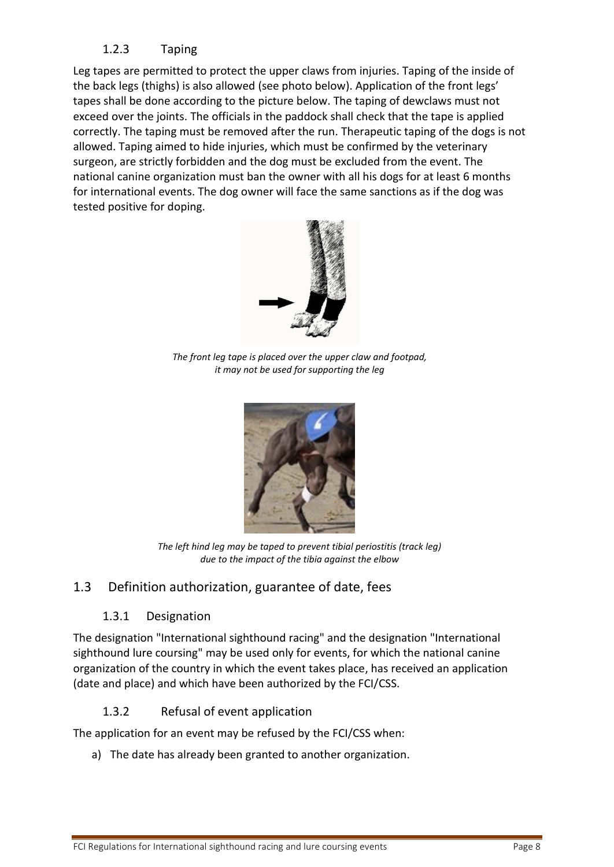# 1.2.3 Taping

<span id="page-7-0"></span>Leg tapes are permitted to protect the upper claws from injuries. Taping of the inside of the back legs (thighs) is also allowed (see photo below). Application of the front legs' tapes shall be done according to the picture below. The taping of dewclaws must not exceed over the joints. The officials in the paddock shall check that the tape is applied correctly. The taping must be removed after the run. Therapeutic taping of the dogs is not allowed. Taping aimed to hide injuries, which must be confirmed by the veterinary surgeon, are strictly forbidden and the dog must be excluded from the event. The national canine organization must ban the owner with all his dogs for at least 6 months for international events. The dog owner will face the same sanctions as if the dog was tested positive for doping.



*The front leg tape is placed over the upper claw and footpad, it may not be used for supporting the leg*



*The left hind leg may be taped to prevent tibial periostitis (track leg) due to the impact of the tibia against the elbow*

# <span id="page-7-2"></span><span id="page-7-1"></span>1.3 Definition authorization, guarantee of date, fees

# 1.3.1 Designation

The designation "International sighthound racing" and the designation "International sighthound lure coursing" may be used only for events, for which the national canine organization of the country in which the event takes place, has received an application (date and place) and which have been authorized by the FCI/CSS.

## 1.3.2 Refusal of event application

<span id="page-7-3"></span>The application for an event may be refused by the FCI/CSS when:

a) The date has already been granted to another organization.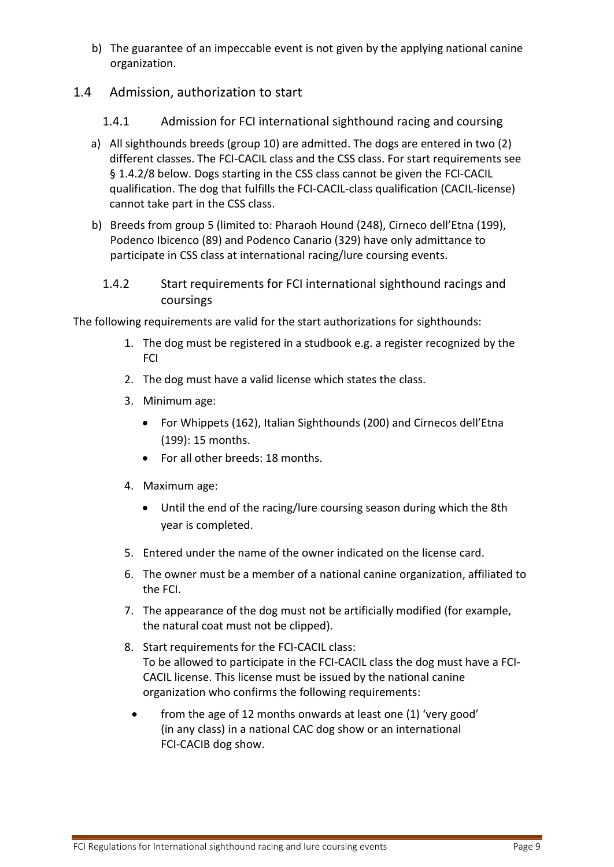- b) The guarantee of an impeccable event is not given by the applying national canine organization.
- <span id="page-8-1"></span><span id="page-8-0"></span>1.4 Admission, authorization to start
	- 1.4.1 Admission for FCI international sighthound racing and coursing
	- a) All sighthounds breeds (group 10) are admitted. The dogs are entered in two (2) different classes. The FCI-CACIL class and the CSS class. For start requirements see § 1.4.2/8 below. Dogs starting in the CSS class cannot be given the FCI-CACIL qualification. The dog that fulfills the FCI-CACIL-class qualification (CACIL-license) cannot take part in the CSS class.
	- b) Breeds from group 5 (limited to: Pharaoh Hound (248), Cirneco dell'Etna (199), Podenco Ibicenco (89) and Podenco Canario (329) have only admittance to participate in CSS class at international racing/lure coursing events.
		- 1.4.2 Start requirements for FCI international sighthound racings and coursings

<span id="page-8-2"></span>The following requirements are valid for the start authorizations for sighthounds:

- 1. The dog must be registered in a studbook e.g. a register recognized by the FCI
- 2. The dog must have a valid license which states the class.
- 3. Minimum age:
	- For Whippets (162), Italian Sighthounds (200) and Cirnecos dell'Etna (199): 15 months.
	- For all other breeds: 18 months.
- 4. Maximum age:
	- Until the end of the racing/lure coursing season during which the 8th year is completed.
- 5. Entered under the name of the owner indicated on the license card.
- 6. The owner must be a member of a national canine organization, affiliated to the FCI.
- 7. The appearance of the dog must not be artificially modified (for example, the natural coat must not be clipped).
- 8. Start requirements for the FCI-CACIL class: To be allowed to participate in the FCI-CACIL class the dog must have a FCI-CACIL license. This license must be issued by the national canine organization who confirms the following requirements:
	- from the age of 12 months onwards at least one (1) 'very good' (in any class) in a national CAC dog show or an international FCI-CACIB dog show.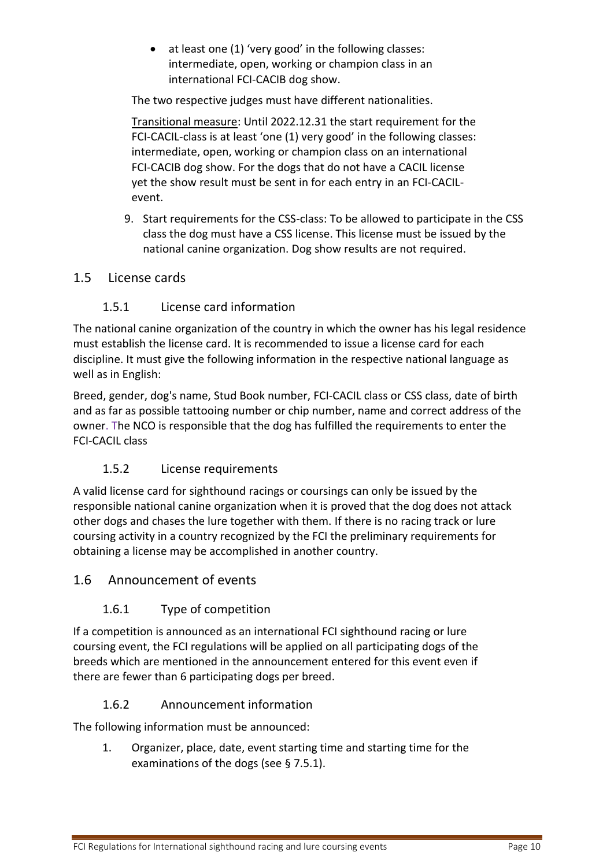• at least one (1) 'very good' in the following classes: intermediate, open, working or champion class in an international FCI-CACIB dog show.

The two respective judges must have different nationalities.

Transitional measure: Until 2022.12.31 the start requirement for the FCI-CACIL-class is at least 'one (1) very good' in the following classes: intermediate, open, working or champion class on an international FCI-CACIB dog show. For the dogs that do not have a CACIL license yet the show result must be sent in for each entry in an FCI-CACILevent.

9. Start requirements for the CSS-class: To be allowed to participate in the CSS class the dog must have a CSS license. This license must be issued by the national canine organization. Dog show results are not required.

## <span id="page-9-1"></span><span id="page-9-0"></span>1.5 License cards

# 1.5.1 License card information

The national canine organization of the country in which the owner has his legal residence must establish the license card. It is recommended to issue a license card for each discipline. It must give the following information in the respective national language as well as in English:

Breed, gender, dog's name, Stud Book number, FCI-CACIL class or CSS class, date of birth and as far as possible tattooing number or chip number, name and correct address of the owner. The NCO is responsible that the dog has fulfilled the requirements to enter the FCI-CACIL class

## 1.5.2 License requirements

<span id="page-9-2"></span>A valid license card for sighthound racings or coursings can only be issued by the responsible national canine organization when it is proved that the dog does not attack other dogs and chases the lure together with them. If there is no racing track or lure coursing activity in a country recognized by the FCI the preliminary requirements for obtaining a license may be accomplished in another country.

## <span id="page-9-4"></span><span id="page-9-3"></span>1.6 Announcement of events

## 1.6.1 Type of competition

If a competition is announced as an international FCI sighthound racing or lure coursing event, the FCI regulations will be applied on all participating dogs of the breeds which are mentioned in the announcement entered for this event even if there are fewer than 6 participating dogs per breed.

## 1.6.2 Announcement information

<span id="page-9-5"></span>The following information must be announced:

1. Organizer, place, date, event starting time and starting time for the examinations of the dogs (see § [7.5.1\)](#page-46-1).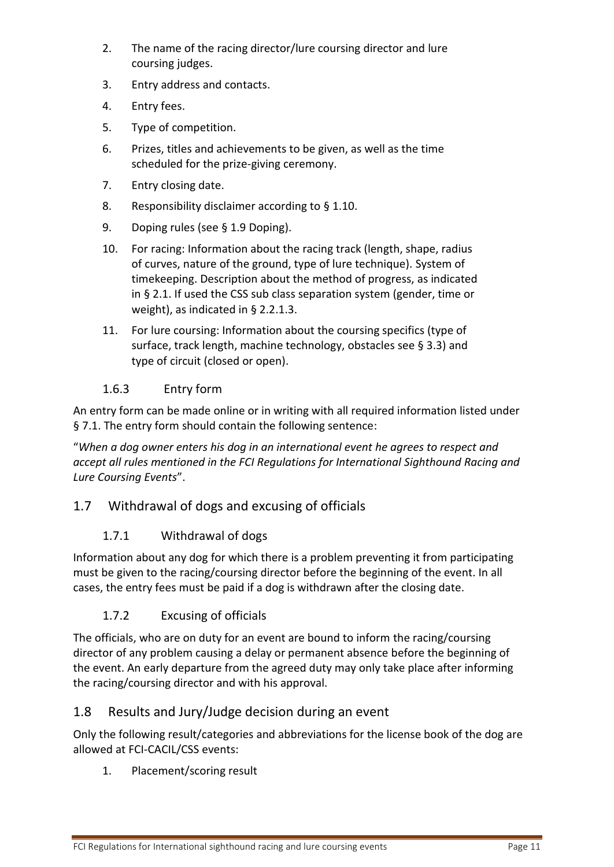- 2. The name of the racing director/lure coursing director and lure coursing judges.
- 3. Entry address and contacts.
- 4. Entry fees.
- 5. Type of competition.
- 6. Prizes, titles and achievements to be given, as well as the time scheduled for the prize-giving ceremony.
- 7. Entry closing date.
- 8. Responsibility disclaimer according to § [1.10.](#page-13-3)
- 9. Doping rules (see § [1.9](#page-12-3) Doping).
- 10. For racing: Information about the racing track (length, shape, radius of curves, nature of the ground, type of lure technique). System of timekeeping. Description about the method of progress, as indicated in § 2.1. If used the CSS sub class separation system (gender, time or weight), as indicated in § 2.2.1.3.
- 11. For lure coursing: Information about the coursing specifics (type of surface, track length, machine technology, obstacles see § [3.3\)](#page-26-1) and type of circuit (closed or open).

# <span id="page-10-0"></span>1.6.3 Entry form

An entry form can be made online or in writing with all required information listed under § [7.1.](#page-44-1) The entry form should contain the following sentence:

"*When a dog owner enters his dog in an international event he agrees to respect and accept all rules mentioned in the FCI Regulations for International Sighthound Racing and Lure Coursing Events*".

## <span id="page-10-2"></span><span id="page-10-1"></span>1.7 Withdrawal of dogs and excusing of officials

## 1.7.1 Withdrawal of dogs

Information about any dog for which there is a problem preventing it from participating must be given to the racing/coursing director before the beginning of the event. In all cases, the entry fees must be paid if a dog is withdrawn after the closing date.

## 1.7.2 Excusing of officials

<span id="page-10-3"></span>The officials, who are on duty for an event are bound to inform the racing/coursing director of any problem causing a delay or permanent absence before the beginning of the event. An early departure from the agreed duty may only take place after informing the racing/coursing director and with his approval.

## <span id="page-10-4"></span>1.8 Results and Jury/Judge decision during an event

Only the following result/categories and abbreviations for the license book of the dog are allowed at FCI-CACIL/CSS events:

1. Placement/scoring result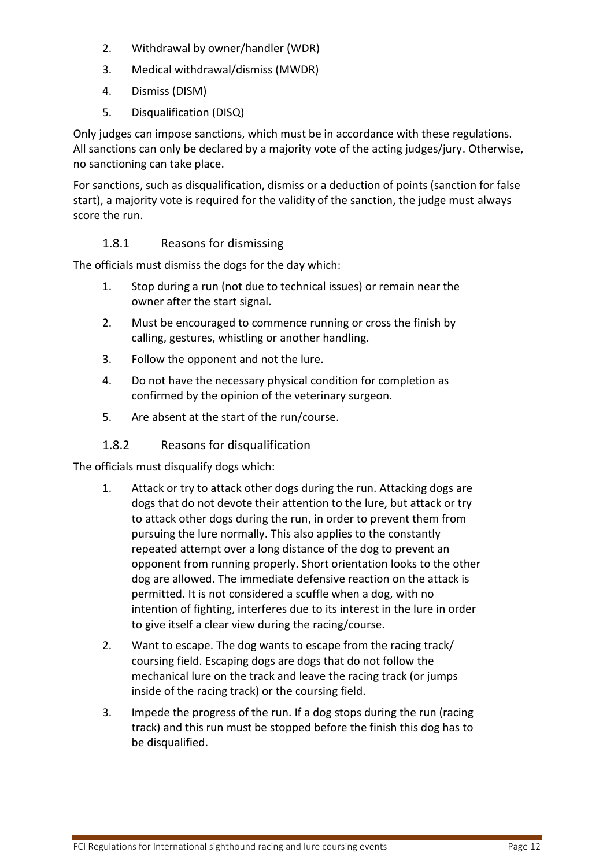- 2. Withdrawal by owner/handler (WDR)
- 3. Medical withdrawal/dismiss (MWDR)
- 4. Dismiss (DISM)
- 5. Disqualification (DISQ)

Only judges can impose sanctions, which must be in accordance with these regulations. All sanctions can only be declared by a majority vote of the acting judges/jury. Otherwise, no sanctioning can take place.

For sanctions, such as disqualification, dismiss or a deduction of points (sanction for false start), a majority vote is required for the validity of the sanction, the judge must always score the run.

#### 1.8.1 Reasons for dismissing

<span id="page-11-0"></span>The officials must dismiss the dogs for the day which:

- 1. Stop during a run (not due to technical issues) or remain near the owner after the start signal.
- 2. Must be encouraged to commence running or cross the finish by calling, gestures, whistling or another handling.
- 3. Follow the opponent and not the lure.
- 4. Do not have the necessary physical condition for completion as confirmed by the opinion of the veterinary surgeon.
- 5. Are absent at the start of the run/course.

#### 1.8.2 Reasons for disqualification

<span id="page-11-1"></span>The officials must disqualify dogs which:

- 1. Attack or try to attack other dogs during the run. Attacking dogs are dogs that do not devote their attention to the lure, but attack or try to attack other dogs during the run, in order to prevent them from pursuing the lure normally. This also applies to the constantly repeated attempt over a long distance of the dog to prevent an opponent from running properly. Short orientation looks to the other dog are allowed. The immediate defensive reaction on the attack is permitted. It is not considered a scuffle when a dog, with no intention of fighting, interferes due to its interest in the lure in order to give itself a clear view during the racing/course.
- 2. Want to escape. The dog wants to escape from the racing track/ coursing field. Escaping dogs are dogs that do not follow the mechanical lure on the track and leave the racing track (or jumps inside of the racing track) or the coursing field.
- 3. Impede the progress of the run. If a dog stops during the run (racing track) and this run must be stopped before the finish this dog has to be disqualified.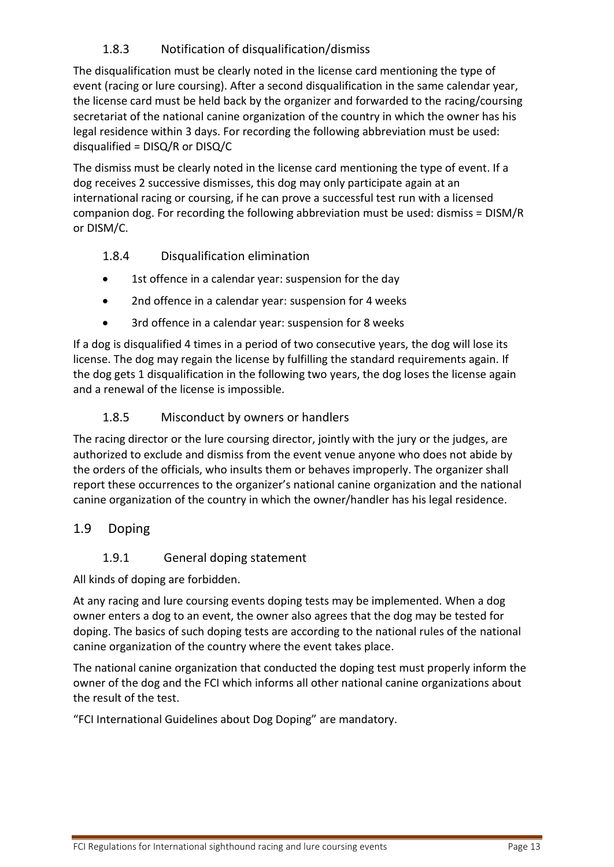# 1.8.3 Notification of disqualification/dismiss

<span id="page-12-0"></span>The disqualification must be clearly noted in the license card mentioning the type of event (racing or lure coursing). After a second disqualification in the same calendar year, the license card must be held back by the organizer and forwarded to the racing/coursing secretariat of the national canine organization of the country in which the owner has his legal residence within 3 days. For recording the following abbreviation must be used: disqualified = DISQ/R or DISQ/C

The dismiss must be clearly noted in the license card mentioning the type of event. If a dog receives 2 successive dismisses, this dog may only participate again at an international racing or coursing, if he can prove a successful test run with a licensed companion dog. For recording the following abbreviation must be used: dismiss = DISM/R or DISM/C.

## <span id="page-12-1"></span>1.8.4 Disqualification elimination

- 1st offence in a calendar year: suspension for the day
- 2nd offence in a calendar year: suspension for 4 weeks
- 3rd offence in a calendar year: suspension for 8 weeks

If a dog is disqualified 4 times in a period of two consecutive years, the dog will lose its license. The dog may regain the license by fulfilling the standard requirements again. If the dog gets 1 disqualification in the following two years, the dog loses the license again and a renewal of the license is impossible.

#### 1.8.5 Misconduct by owners or handlers

<span id="page-12-2"></span>The racing director or the lure coursing director, jointly with the jury or the judges, are authorized to exclude and dismiss from the event venue anyone who does not abide by the orders of the officials, who insults them or behaves improperly. The organizer shall report these occurrences to the organizer's national canine organization and the national canine organization of the country in which the owner/handler has his legal residence.

## <span id="page-12-3"></span>1.9 Doping

#### <span id="page-12-4"></span>1.9.1 General doping statement

All kinds of doping are forbidden.

At any racing and lure coursing events doping tests may be implemented. When a dog owner enters a dog to an event, the owner also agrees that the dog may be tested for doping. The basics of such doping tests are according to the national rules of the national canine organization of the country where the event takes place.

The national canine organization that conducted the doping test must properly inform the owner of the dog and the FCI which informs all other national canine organizations about the result of the test.

"FCI International Guidelines about Dog Doping" are mandatory.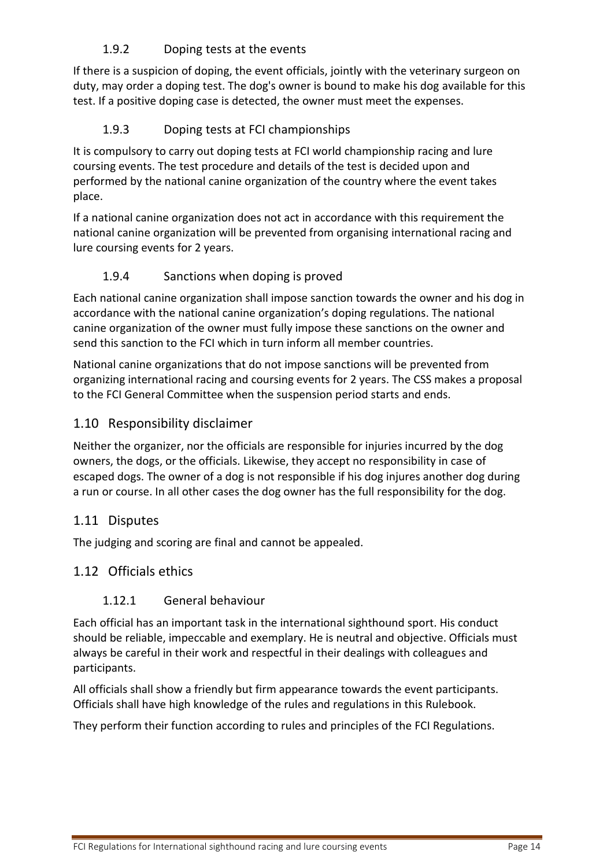# <span id="page-13-0"></span>1.9.2 Doping tests at the events

If there is a suspicion of doping, the event officials, jointly with the veterinary surgeon on duty, may order a doping test. The dog's owner is bound to make his dog available for this test. If a positive doping case is detected, the owner must meet the expenses.

# <span id="page-13-1"></span>1.9.3 Doping tests at FCI championships

It is compulsory to carry out doping tests at FCI world championship racing and lure coursing events. The test procedure and details of the test is decided upon and performed by the national canine organization of the country where the event takes place.

If a national canine organization does not act in accordance with this requirement the national canine organization will be prevented from organising international racing and lure coursing events for 2 years.

## <span id="page-13-2"></span>1.9.4 Sanctions when doping is proved

Each national canine organization shall impose sanction towards the owner and his dog in accordance with the national canine organization's doping regulations. The national canine organization of the owner must fully impose these sanctions on the owner and send this sanction to the FCI which in turn inform all member countries.

National canine organizations that do not impose sanctions will be prevented from organizing international racing and coursing events for 2 years. The CSS makes a proposal to the FCI General Committee when the suspension period starts and ends.

# <span id="page-13-3"></span>1.10 Responsibility disclaimer

Neither the organizer, nor the officials are responsible for injuries incurred by the dog owners, the dogs, or the officials. Likewise, they accept no responsibility in case of escaped dogs. The owner of a dog is not responsible if his dog injures another dog during a run or course. In all other cases the dog owner has the full responsibility for the dog.

## <span id="page-13-4"></span>1.11 Disputes

The judging and scoring are final and cannot be appealed.

## <span id="page-13-5"></span>1.12 Officials ethics

## <span id="page-13-6"></span>1.12.1 General behaviour

Each official has an important task in the international sighthound sport. His conduct should be reliable, impeccable and exemplary. He is neutral and objective. Officials must always be careful in their work and respectful in their dealings with colleagues and participants.

All officials shall show a friendly but firm appearance towards the event participants. Officials shall have high knowledge of the rules and regulations in this Rulebook.

They perform their function according to rules and principles of the FCI Regulations.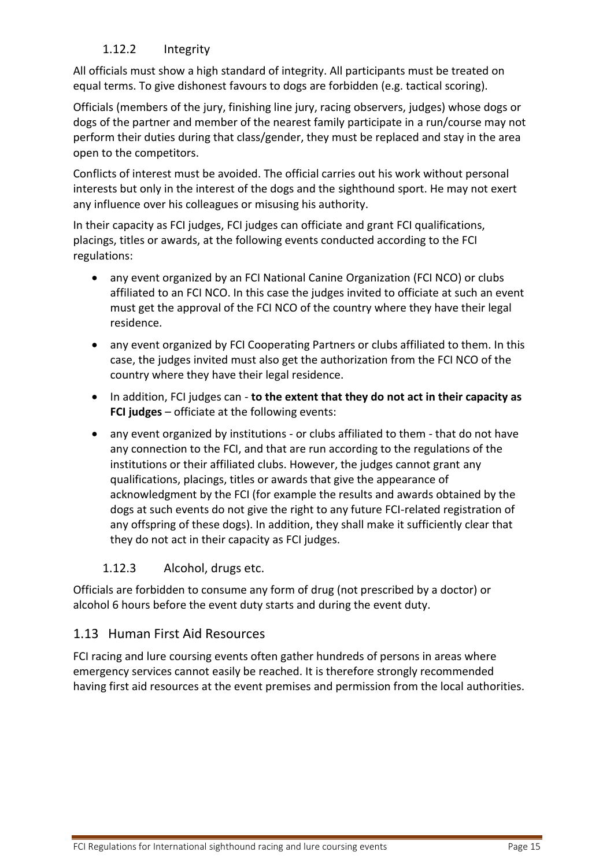# <span id="page-14-0"></span>1.12.2 Integrity

All officials must show a high standard of integrity. All participants must be treated on equal terms. To give dishonest favours to dogs are forbidden (e.g. tactical scoring).

Officials (members of the jury, finishing line jury, racing observers, judges) whose dogs or dogs of the partner and member of the nearest family participate in a run/course may not perform their duties during that class/gender, they must be replaced and stay in the area open to the competitors.

Conflicts of interest must be avoided. The official carries out his work without personal interests but only in the interest of the dogs and the sighthound sport. He may not exert any influence over his colleagues or misusing his authority.

In their capacity as FCI judges, FCI judges can officiate and grant FCI qualifications, placings, titles or awards, at the following events conducted according to the FCI regulations:

- any event organized by an FCI National Canine Organization (FCI NCO) or clubs affiliated to an FCI NCO. In this case the judges invited to officiate at such an event must get the approval of the FCI NCO of the country where they have their legal residence.
- any event organized by FCI Cooperating Partners or clubs affiliated to them. In this case, the judges invited must also get the authorization from the FCI NCO of the country where they have their legal residence.
- In addition, FCI judges can **to the extent that they do not act in their capacity as FCI judges** – officiate at the following events:
- any event organized by institutions or clubs affiliated to them that do not have any connection to the FCI, and that are run according to the regulations of the institutions or their affiliated clubs. However, the judges cannot grant any qualifications, placings, titles or awards that give the appearance of acknowledgment by the FCI (for example the results and awards obtained by the dogs at such events do not give the right to any future FCI-related registration of any offspring of these dogs). In addition, they shall make it sufficiently clear that they do not act in their capacity as FCI judges.

## <span id="page-14-1"></span>1.12.3 Alcohol, drugs etc.

Officials are forbidden to consume any form of drug (not prescribed by a doctor) or alcohol 6 hours before the event duty starts and during the event duty.

## <span id="page-14-2"></span>1.13 Human First Aid Resources

FCI racing and lure coursing events often gather hundreds of persons in areas where emergency services cannot easily be reached. It is therefore strongly recommended having first aid resources at the event premises and permission from the local authorities.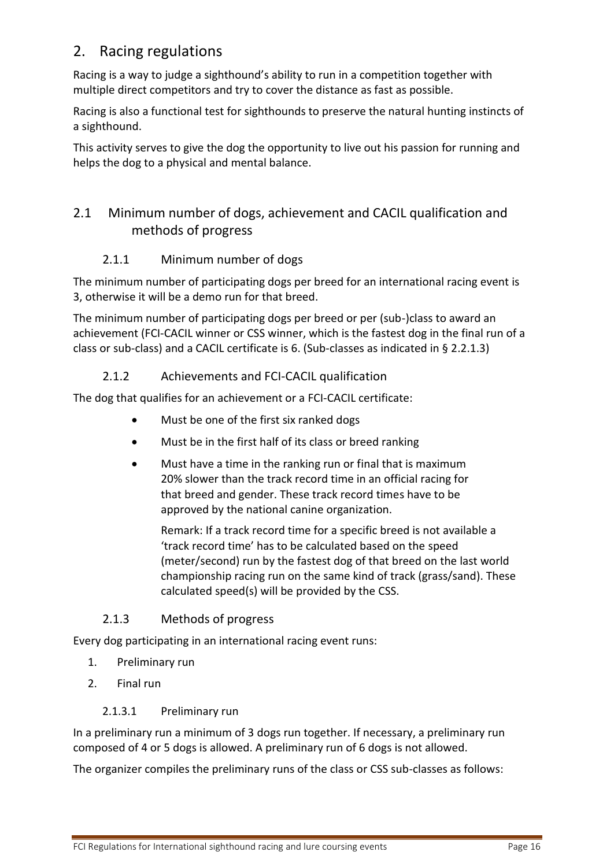# <span id="page-15-0"></span>2. Racing regulations

Racing is a way to judge a sighthound's ability to run in a competition together with multiple direct competitors and try to cover the distance as fast as possible.

Racing is also a functional test for sighthounds to preserve the natural hunting instincts of a sighthound.

This activity serves to give the dog the opportunity to live out his passion for running and helps the dog to a physical and mental balance.

# <span id="page-15-1"></span>2.1 Minimum number of dogs, achievement and CACIL qualification and methods of progress

# 2.1.1 Minimum number of dogs

<span id="page-15-2"></span>The minimum number of participating dogs per breed for an international racing event is 3, otherwise it will be a demo run for that breed.

The minimum number of participating dogs per breed or per (sub-)class to award an achievement (FCI-CACIL winner or CSS winner, which is the fastest dog in the final run of a class or sub-class) and a CACIL certificate is 6. (Sub-classes as indicated in § 2.2.1.3)

## 2.1.2 Achievements and FCI-CACIL qualification

<span id="page-15-3"></span>The dog that qualifies for an achievement or a FCI-CACIL certificate:

- Must be one of the first six ranked dogs
- Must be in the first half of its class or breed ranking
- Must have a time in the ranking run or final that is maximum 20% slower than the track record time in an official racing for that breed and gender. These track record times have to be approved by the national canine organization.

Remark: If a track record time for a specific breed is not available a 'track record time' has to be calculated based on the speed (meter/second) run by the fastest dog of that breed on the last world championship racing run on the same kind of track (grass/sand). These calculated speed(s) will be provided by the CSS.

## 2.1.3 Methods of progress

<span id="page-15-4"></span>Every dog participating in an international racing event runs:

- 1. Preliminary run
- <span id="page-15-5"></span>2. Final run

#### 2.1.3.1 Preliminary run

In a preliminary run a minimum of 3 dogs run together. If necessary, a preliminary run composed of 4 or 5 dogs is allowed. A preliminary run of 6 dogs is not allowed.

The organizer compiles the preliminary runs of the class or CSS sub-classes as follows: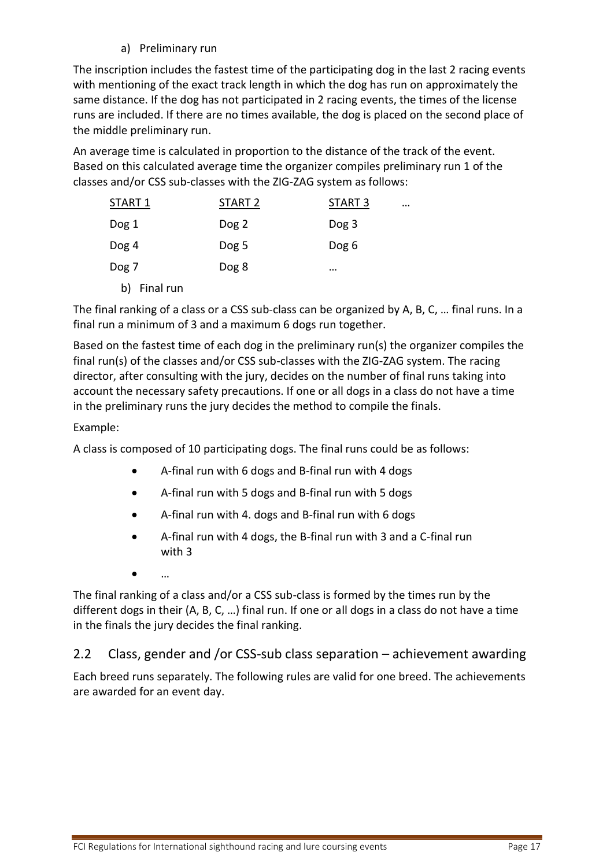a) Preliminary run

The inscription includes the fastest time of the participating dog in the last 2 racing events with mentioning of the exact track length in which the dog has run on approximately the same distance. If the dog has not participated in 2 racing events, the times of the license runs are included. If there are no times available, the dog is placed on the second place of the middle preliminary run.

An average time is calculated in proportion to the distance of the track of the event. Based on this calculated average time the organizer compiles preliminary run 1 of the classes and/or CSS sub-classes with the ZIG-ZAG system as follows:

| START 1         | START 2 | START <sub>3</sub> | $\cdots$ |
|-----------------|---------|--------------------|----------|
| Dog 1           | Dog 2   | Dog 3              |          |
| Dog 4           | Dog 5   | Dog 6              |          |
| Dog 7           | Dog 8   | $\cdots$           |          |
| Final run<br>b) |         |                    |          |

The final ranking of a class or a CSS sub-class can be organized by A, B, C, … final runs. In a final run a minimum of 3 and a maximum 6 dogs run together.

Based on the fastest time of each dog in the preliminary run(s) the organizer compiles the final run(s) of the classes and/or CSS sub-classes with the ZIG-ZAG system. The racing director, after consulting with the jury, decides on the number of final runs taking into account the necessary safety precautions. If one or all dogs in a class do not have a time in the preliminary runs the jury decides the method to compile the finals.

#### Example:

A class is composed of 10 participating dogs. The final runs could be as follows:

- A-final run with 6 dogs and B-final run with 4 dogs
- A-final run with 5 dogs and B-final run with 5 dogs
- A-final run with 4. dogs and B-final run with 6 dogs
- A-final run with 4 dogs, the B-final run with 3 and a C-final run with 3
- …

The final ranking of a class and/or a CSS sub-class is formed by the times run by the different dogs in their (A, B, C, …) final run. If one or all dogs in a class do not have a time in the finals the jury decides the final ranking.

## <span id="page-16-0"></span>2.2 Class, gender and /or CSS-sub class separation – achievement awarding

Each breed runs separately. The following rules are valid for one breed. The achievements are awarded for an event day.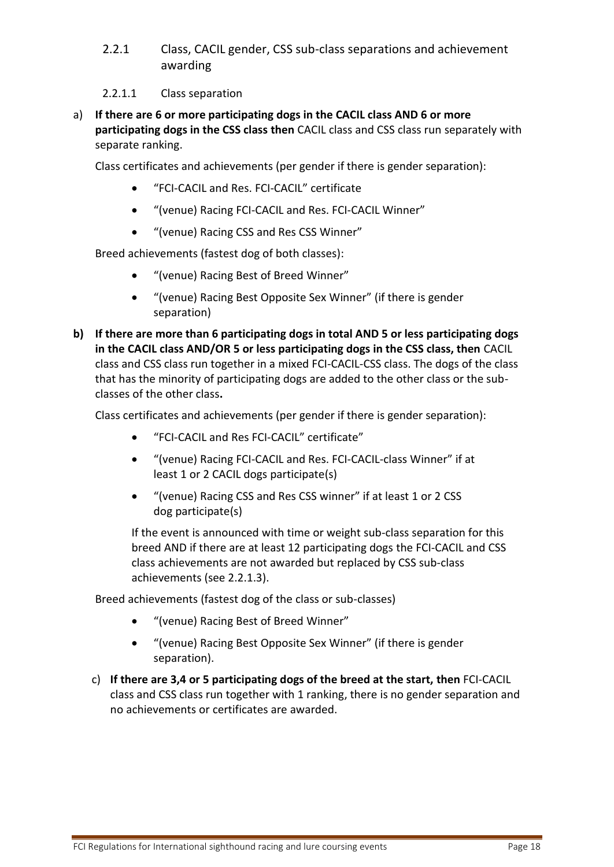<span id="page-17-0"></span>2.2.1 Class, CACIL gender, CSS sub-class separations and achievement awarding

#### 2.2.1.1 Class separation

<span id="page-17-1"></span>a) **If there are 6 or more participating dogs in the CACIL class AND 6 or more participating dogs in the CSS class then** CACIL class and CSS class run separately with separate ranking.

Class certificates and achievements (per gender if there is gender separation):

- "FCI-CACIL and Res. FCI-CACIL" certificate
- "(venue) Racing FCI-CACIL and Res. FCI-CACIL Winner"
- "(venue) Racing CSS and Res CSS Winner"

Breed achievements (fastest dog of both classes):

- "(venue) Racing Best of Breed Winner"
- "(venue) Racing Best Opposite Sex Winner" (if there is gender separation)
- **b) If there are more than 6 participating dogs in total AND 5 or less participating dogs in the CACIL class AND/OR 5 or less participating dogs in the CSS class, then** CACIL class and CSS class run together in a mixed FCI-CACIL-CSS class. The dogs of the class that has the minority of participating dogs are added to the other class or the subclasses of the other class**.**

Class certificates and achievements (per gender if there is gender separation):

- "FCI-CACIL and Res FCI-CACIL" certificate"
- "(venue) Racing FCI-CACIL and Res. FCI-CACIL-class Winner" if at least 1 or 2 CACIL dogs participate(s)
- "(venue) Racing CSS and Res CSS winner" if at least 1 or 2 CSS dog participate(s)

If the event is announced with time or weight sub-class separation for this breed AND if there are at least 12 participating dogs the FCI-CACIL and CSS class achievements are not awarded but replaced by CSS sub-class achievements (see 2.2.1.3).

Breed achievements (fastest dog of the class or sub-classes)

- "(venue) Racing Best of Breed Winner"
- "(venue) Racing Best Opposite Sex Winner" (if there is gender separation).
- c) **If there are 3,4 or 5 participating dogs of the breed at the start, then** FCI-CACIL class and CSS class run together with 1 ranking, there is no gender separation and no achievements or certificates are awarded.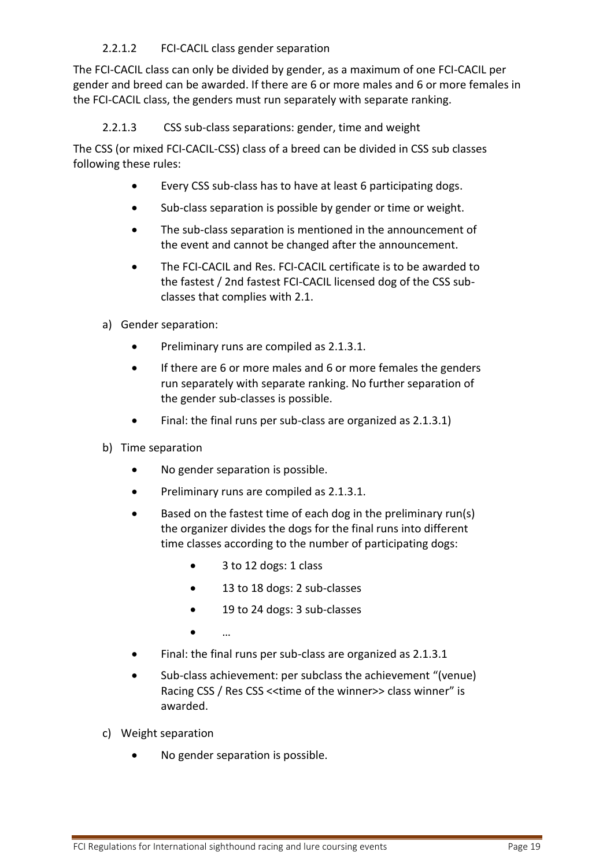#### 2.2.1.2 FCI-CACIL class gender separation

<span id="page-18-0"></span>The FCI-CACIL class can only be divided by gender, as a maximum of one FCI-CACIL per gender and breed can be awarded. If there are 6 or more males and 6 or more females in the FCI-CACIL class, the genders must run separately with separate ranking.

<span id="page-18-1"></span>2.2.1.3 CSS sub-class separations: gender, time and weight

The CSS (or mixed FCI-CACIL-CSS) class of a breed can be divided in CSS sub classes following these rules:

- Every CSS sub-class has to have at least 6 participating dogs.
- Sub-class separation is possible by gender or time or weight.
- The sub-class separation is mentioned in the announcement of the event and cannot be changed after the announcement.
- The FCI-CACIL and Res. FCI-CACIL certificate is to be awarded to the fastest / 2nd fastest FCI-CACIL licensed dog of the CSS subclasses that complies with 2.1.
- <span id="page-18-2"></span>a) Gender separation:
	- Preliminary runs are compiled as 2.1.3.1.
	- If there are 6 or more males and 6 or more females the genders run separately with separate ranking. No further separation of the gender sub-classes is possible.
	- Final: the final runs per sub-class are organized as 2.1.3.1)
- <span id="page-18-3"></span>b) Time separation
	- No gender separation is possible.
	- Preliminary runs are compiled as 2.1.3.1.
	- Based on the fastest time of each dog in the preliminary run(s) the organizer divides the dogs for the final runs into different time classes according to the number of participating dogs:
		- 3 to 12 dogs: 1 class
		- 13 to 18 dogs: 2 sub-classes
		- 19 to 24 dogs: 3 sub-classes
		- …
	- Final: the final runs per sub-class are organized as 2.1.3.1
	- Sub-class achievement: per subclass the achievement "(venue) Racing CSS / Res CSS <<time of the winner>> class winner" is awarded.
- <span id="page-18-4"></span>c) Weight separation
	- No gender separation is possible.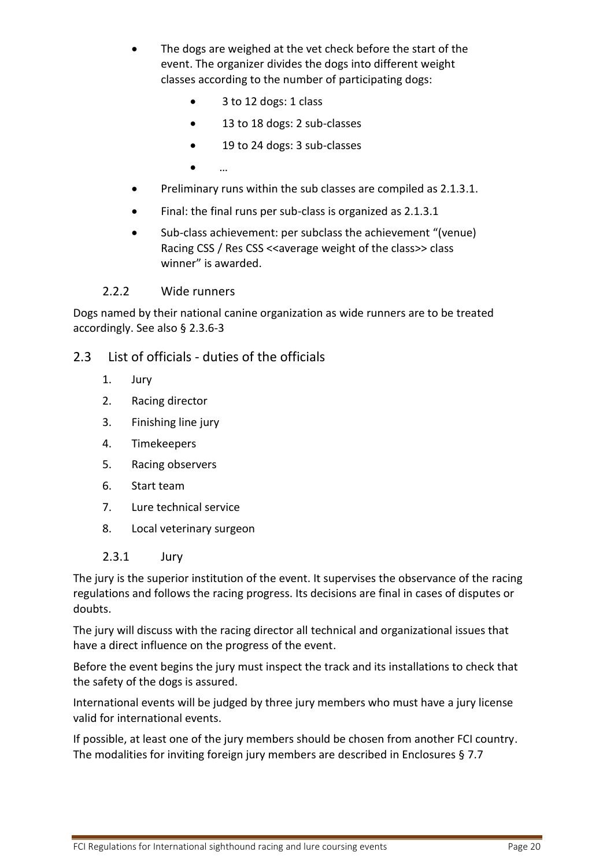- The dogs are weighed at the vet check before the start of the event. The organizer divides the dogs into different weight classes according to the number of participating dogs:
	- 3 to 12 dogs: 1 class
	- 13 to 18 dogs: 2 sub-classes
	- 19 to 24 dogs: 3 sub-classes
	- …
- Preliminary runs within the sub classes are compiled as 2.1.3.1.
- Final: the final runs per sub-class is organized as 2.1.3.1
- Sub-class achievement: per subclass the achievement "(venue) Racing CSS / Res CSS << average weight of the class>> class winner" is awarded.

#### 2.2.2 Wide runners

<span id="page-19-0"></span>Dogs named by their national canine organization as wide runners are to be treated accordingly. See also § [2.3.6-](#page-20-4)3

#### <span id="page-19-1"></span>2.3 List of officials - duties of the officials

- 1. Jury
- 2. Racing director
- 3. Finishing line jury
- 4. Timekeepers
- 5. Racing observers
- 6. Start team
- 7. Lure technical service
- 8. Local veterinary surgeon
- 2.3.1 Jury

<span id="page-19-2"></span>The jury is the superior institution of the event. It supervises the observance of the racing regulations and follows the racing progress. Its decisions are final in cases of disputes or doubts.

The jury will discuss with the racing director all technical and organizational issues that have a direct influence on the progress of the event.

Before the event begins the jury must inspect the track and its installations to check that the safety of the dogs is assured.

International events will be judged by three jury members who must have a jury license valid for international events.

If possible, at least one of the jury members should be chosen from another FCI country. The modalities for inviting foreign jury members are described in Enclosures § [7.7](#page-47-7)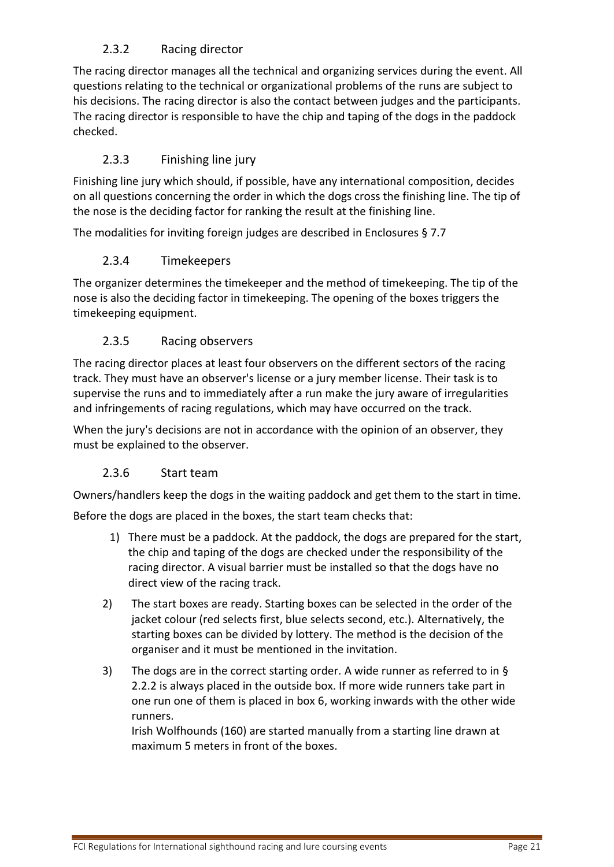# 2.3.2 Racing director

<span id="page-20-0"></span>The racing director manages all the technical and organizing services during the event. All questions relating to the technical or organizational problems of the runs are subject to his decisions. The racing director is also the contact between judges and the participants. The racing director is responsible to have the chip and taping of the dogs in the paddock checked.

## 2.3.3 Finishing line jury

<span id="page-20-1"></span>Finishing line jury which should, if possible, have any international composition, decides on all questions concerning the order in which the dogs cross the finishing line. The tip of the nose is the deciding factor for ranking the result at the finishing line.

<span id="page-20-2"></span>The modalities for inviting foreign judges are described in Enclosures § [7.7](#page-47-7)

#### 2.3.4 Timekeepers

The organizer determines the timekeeper and the method of timekeeping. The tip of the nose is also the deciding factor in timekeeping. The opening of the boxes triggers the timekeeping equipment.

#### 2.3.5 Racing observers

<span id="page-20-3"></span>The racing director places at least four observers on the different sectors of the racing track. They must have an observer's license or a jury member license. Their task is to supervise the runs and to immediately after a run make the jury aware of irregularities and infringements of racing regulations, which may have occurred on the track.

When the jury's decisions are not in accordance with the opinion of an observer, they must be explained to the observer.

## 2.3.6 Start team

<span id="page-20-4"></span>Owners/handlers keep the dogs in the waiting paddock and get them to the start in time.

Before the dogs are placed in the boxes, the start team checks that:

- 1) There must be a paddock. At the paddock, the dogs are prepared for the start, the chip and taping of the dogs are checked under the responsibility of the racing director. A visual barrier must be installed so that the dogs have no direct view of the racing track.
- 2) The start boxes are ready. Starting boxes can be selected in the order of the jacket colour (red selects first, blue selects second, etc.). Alternatively, the starting boxes can be divided by lottery. The method is the decision of the organiser and it must be mentioned in the invitation.
- 3) The dogs are in the correct starting order. A wide runner as referred to in § [2.2.2](#page-19-0) is always placed in the outside box. If more wide runners take part in one run one of them is placed in box 6, working inwards with the other wide runners.

Irish Wolfhounds (160) are started manually from a starting line drawn at maximum 5 meters in front of the boxes.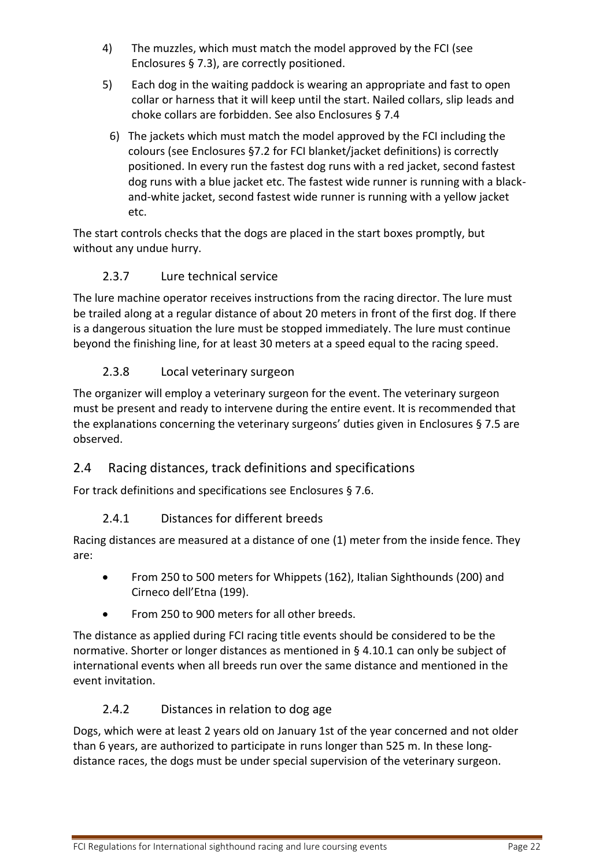- 4) The muzzles, which must match the model approved by the FCI (see Enclosures § [7.3\)](#page-45-0), are correctly positioned.
- 5) Each dog in the waiting paddock is wearing an appropriate and fast to open collar or harness that it will keep until the start. Nailed collars, slip leads and choke collars are forbidden. See also Enclosures § [7.4](#page-45-1)
	- 6) The jackets which must match the model approved by the FCI including the colours (see Enclosures [§7.2](#page-44-2) for FCI blanket/jacket definitions) is correctly positioned. In every run the fastest dog runs with a red jacket, second fastest dog runs with a blue jacket etc. The fastest wide runner is running with a blackand-white jacket, second fastest wide runner is running with a yellow jacket etc.

The start controls checks that the dogs are placed in the start boxes promptly, but without any undue hurry.

# 2.3.7 Lure technical service

<span id="page-21-0"></span>The lure machine operator receives instructions from the racing director. The lure must be trailed along at a regular distance of about 20 meters in front of the first dog. If there is a dangerous situation the lure must be stopped immediately. The lure must continue beyond the finishing line, for at least 30 meters at a speed equal to the racing speed.

# 2.3.8 Local veterinary surgeon

<span id="page-21-1"></span>The organizer will employ a veterinary surgeon for the event. The veterinary surgeon must be present and ready to intervene during the entire event. It is recommended that the explanations concerning the veterinary surgeons' duties given in Enclosures § [7.5](#page-46-0) are observed.

# <span id="page-21-2"></span>2.4 Racing distances, track definitions and specifications

<span id="page-21-3"></span>For track definitions and specifications see Enclosures § [7.6.](#page-47-0)

## 2.4.1 Distances for different breeds

Racing distances are measured at a distance of one (1) meter from the inside fence. They are:

- From 250 to 500 meters for Whippets (162), Italian Sighthounds (200) and Cirneco dell'Etna (199).
- From 250 to 900 meters for all other breeds.

The distance as applied during FCI racing title events should be considered to be the normative. Shorter or longer distances as mentioned in § [4.10.1](#page-38-2) can only be subject of international events when all breeds run over the same distance and mentioned in the event invitation.

## 2.4.2 Distances in relation to dog age

<span id="page-21-4"></span>Dogs, which were at least 2 years old on January 1st of the year concerned and not older than 6 years, are authorized to participate in runs longer than 525 m. In these longdistance races, the dogs must be under special supervision of the veterinary surgeon.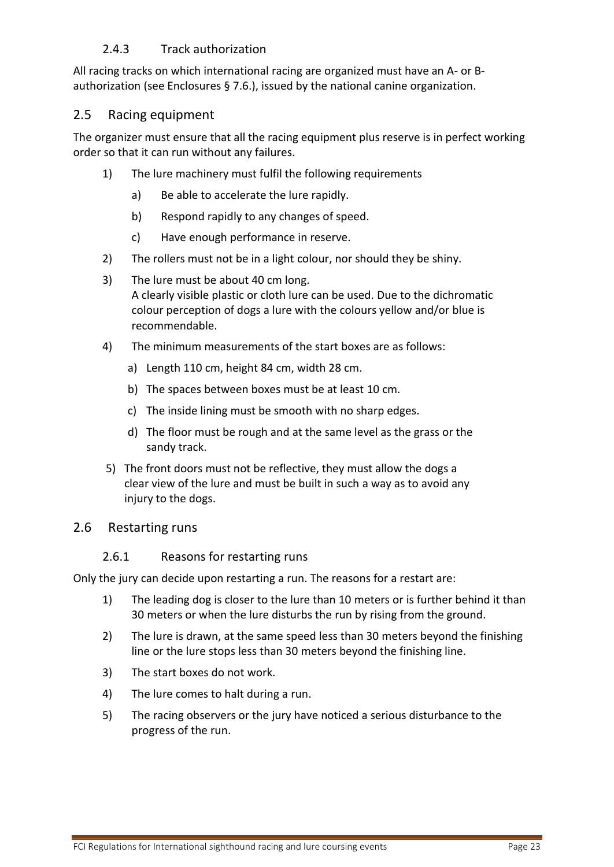## 2.4.3 Track authorization

<span id="page-22-0"></span>All racing tracks on which international racing are organized must have an A- or Bauthorization [\(see Enclosures §](#page-47-0) [7.6.](#page-47-0)), issued by the national canine organization.

## <span id="page-22-1"></span>2.5 Racing equipment

The organizer must ensure that all the racing equipment plus reserve is in perfect working order so that it can run without any failures.

- 1) The lure machinery must fulfil the following requirements
	- a) Be able to accelerate the lure rapidly.
	- b) Respond rapidly to any changes of speed.
	- c) Have enough performance in reserve.
- 2) The rollers must not be in a light colour, nor should they be shiny.
- 3) The lure must be about 40 cm long. A clearly visible plastic or cloth lure can be used. Due to the dichromatic colour perception of dogs a lure with the colours yellow and/or blue is recommendable.
- 4) The minimum measurements of the start boxes are as follows:
	- a) Length 110 cm, height 84 cm, width 28 cm.
	- b) The spaces between boxes must be at least 10 cm.
	- c) The inside lining must be smooth with no sharp edges.
	- d) The floor must be rough and at the same level as the grass or the sandy track.
- 5) The front doors must not be reflective, they must allow the dogs a clear view of the lure and must be built in such a way as to avoid any injury to the dogs.

## <span id="page-22-3"></span><span id="page-22-2"></span>2.6 Restarting runs

#### 2.6.1 Reasons for restarting runs

Only the jury can decide upon restarting a run. The reasons for a restart are:

- 1) The leading dog is closer to the lure than 10 meters or is further behind it than 30 meters or when the lure disturbs the run by rising from the ground.
- 2) The lure is drawn, at the same speed less than 30 meters beyond the finishing line or the lure stops less than 30 meters beyond the finishing line.
- 3) The start boxes do not work.
- 4) The lure comes to halt during a run.
- 5) The racing observers or the jury have noticed a serious disturbance to the progress of the run.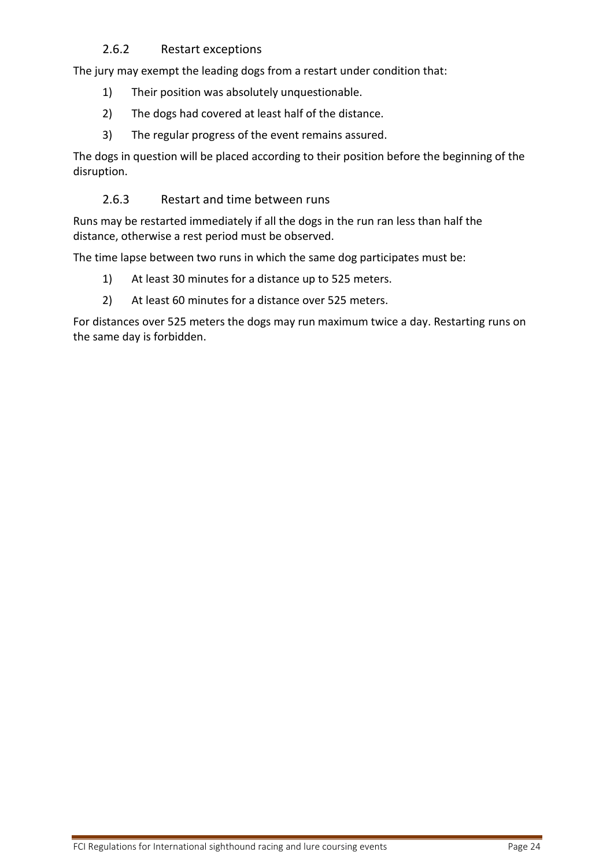#### 2.6.2 Restart exceptions

<span id="page-23-0"></span>The jury may exempt the leading dogs from a restart under condition that:

- 1) Their position was absolutely unquestionable.
- 2) The dogs had covered at least half of the distance.
- 3) The regular progress of the event remains assured.

The dogs in question will be placed according to their position before the beginning of the disruption.

#### 2.6.3 Restart and time between runs

<span id="page-23-1"></span>Runs may be restarted immediately if all the dogs in the run ran less than half the distance, otherwise a rest period must be observed.

The time lapse between two runs in which the same dog participates must be:

- 1) At least 30 minutes for a distance up to 525 meters.
- 2) At least 60 minutes for a distance over 525 meters.

For distances over 525 meters the dogs may run maximum twice a day. Restarting runs on the same day is forbidden.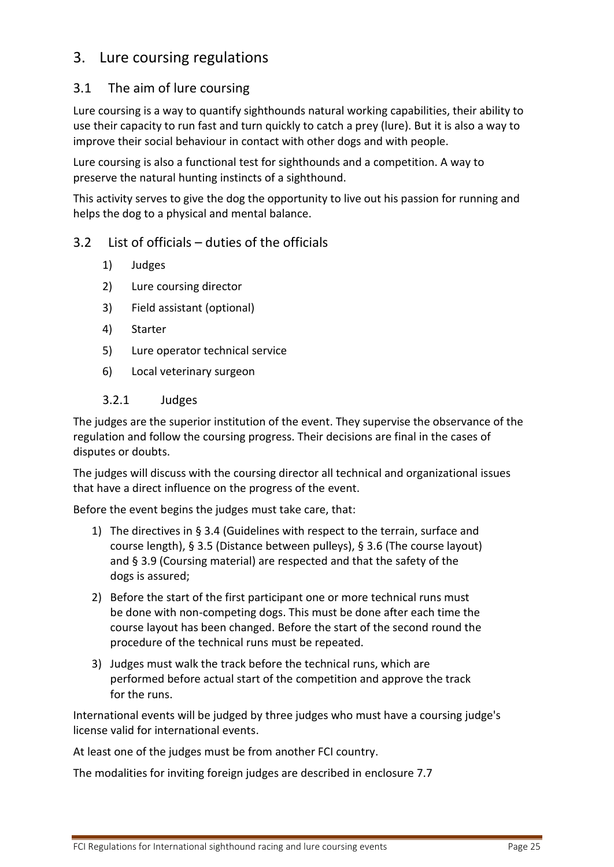# <span id="page-24-0"></span>3. Lure coursing regulations

## <span id="page-24-1"></span>3.1 The aim of lure coursing

Lure coursing is a way to quantify sighthounds natural working capabilities, their ability to use their capacity to run fast and turn quickly to catch a prey (lure). But it is also a way to improve their social behaviour in contact with other dogs and with people.

Lure coursing is also a functional test for sighthounds and a competition. A way to preserve the natural hunting instincts of a sighthound.

This activity serves to give the dog the opportunity to live out his passion for running and helps the dog to a physical and mental balance.

## <span id="page-24-2"></span>3.2 List of officials – duties of the officials

- 1) Judges
- 2) Lure coursing director
- 3) Field assistant (optional)
- 4) Starter
- 5) Lure operator technical service
- 6) Local veterinary surgeon
- 3.2.1 Judges

<span id="page-24-3"></span>The judges are the superior institution of the event. They supervise the observance of the regulation and follow the coursing progress. Their decisions are final in the cases of disputes or doubts.

The judges will discuss with the coursing director all technical and organizational issues that have a direct influence on the progress of the event.

Before the event begins the judges must take care, that:

- 1) The directives in § 3.4 (Guidelines with respect to the terrain, surface and course length), § [3.5](#page-28-2) (Distance between pulleys), § [3.6](#page-28-3) (The course layout) and [§ 3.9](#page-29-0) (Coursing material) are respected and that the safety of the dogs is assured;
- 2) Before the start of the first participant one or more technical runs must be done with non-competing dogs. This must be done after each time the course layout has been changed. Before the start of the second round the procedure of the technical runs must be repeated.
- 3) Judges must walk the track before the technical runs, which are performed before actual start of the competition and approve the track for the runs.

International events will be judged by three judges who must have a coursing judge's license valid for international events.

At least one of the judges must be from another FCI country.

The modalities for inviting foreign judges are described in enclosure [7.7](#page-47-7)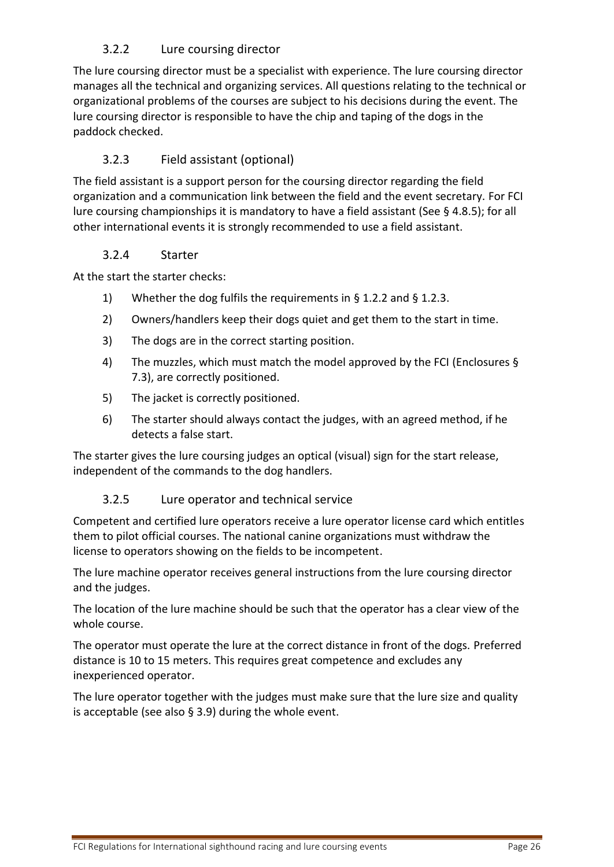# 3.2.2 Lure coursing director

<span id="page-25-0"></span>The lure coursing director must be a specialist with experience. The lure coursing director manages all the technical and organizing services. All questions relating to the technical or organizational problems of the courses are subject to his decisions during the event. The lure coursing director is responsible to have the chip and taping of the dogs in the paddock checked.

## 3.2.3 Field assistant (optional)

<span id="page-25-1"></span>The field assistant is a support person for the coursing director regarding the field organization and a communication link between the field and the event secretary. For FCI lure coursing championships it is mandatory to have a field assistant (See § [4.8.5\)](#page-37-4); for all other international events it is strongly recommended to use a field assistant.

#### 3.2.4 Starter

<span id="page-25-2"></span>At the start the starter checks:

- 1) Whether the dog fulfils the requirements in [§ 1.2.2](#page-6-4) and § [1.2.3.](#page-7-0)
- 2) Owners/handlers keep their dogs quiet and get them to the start in time.
- 3) The dogs are in the correct starting position.
- 4) The muzzles, which must match the model approved by the FCI (Enclosures § [7.3\)](#page-45-0), are correctly positioned.
- 5) The jacket is correctly positioned.
- 6) The starter should always contact the judges, with an agreed method, if he detects a false start.

The starter gives the lure coursing judges an optical (visual) sign for the start release, independent of the commands to the dog handlers.

## 3.2.5 Lure operator and technical service

<span id="page-25-3"></span>Competent and certified lure operators receive a lure operator license card which entitles them to pilot official courses. The national canine organizations must withdraw the license to operators showing on the fields to be incompetent.

The lure machine operator receives general instructions from the lure coursing director and the judges.

The location of the lure machine should be such that the operator has a clear view of the whole course.

The operator must operate the lure at the correct distance in front of the dogs. Preferred distance is 10 to 15 meters. This requires great competence and excludes any inexperienced operator.

The lure operator together with the judges must make sure that the lure size and quality is acceptable [\(see also § 3.9\)](#page-29-0) during the whole event.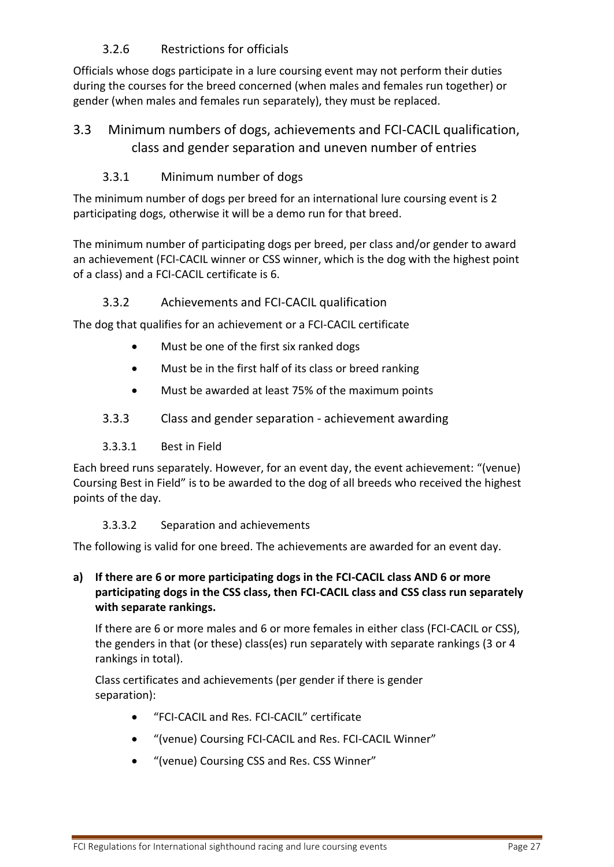# 3.2.6 Restrictions for officials

<span id="page-26-0"></span>Officials whose dogs participate in a lure coursing event may not perform their duties during the courses for the breed concerned (when males and females run together) or gender (when males and females run separately), they must be replaced.

# <span id="page-26-1"></span>3.3 Minimum numbers of dogs, achievements and FCI-CACIL qualification, class and gender separation and uneven number of entries

## 3.3.1 Minimum number of dogs

<span id="page-26-2"></span>The minimum number of dogs per breed for an international lure coursing event is 2 participating dogs, otherwise it will be a demo run for that breed.

The minimum number of participating dogs per breed, per class and/or gender to award an achievement (FCI-CACIL winner or CSS winner, which is the dog with the highest point of a class) and a FCI-CACIL certificate is 6.

## 3.3.2 Achievements and FCI-CACIL qualification

<span id="page-26-3"></span>The dog that qualifies for an achievement or a FCI-CACIL certificate

- Must be one of the first six ranked dogs
- Must be in the first half of its class or breed ranking
- Must be awarded at least 75% of the maximum points
- <span id="page-26-4"></span>3.3.3 Class and gender separation - achievement awarding

#### 3.3.3.1 Best in Field

<span id="page-26-5"></span>Each breed runs separately. However, for an event day, the event achievement: "(venue) Coursing Best in Field" is to be awarded to the dog of all breeds who received the highest points of the day.

#### 3.3.3.2 Separation and achievements

<span id="page-26-6"></span>The following is valid for one breed. The achievements are awarded for an event day.

#### **a) If there are 6 or more participating dogs in the FCI-CACIL class AND 6 or more participating dogs in the CSS class, then FCI-CACIL class and CSS class run separately with separate rankings.**

If there are 6 or more males and 6 or more females in either class (FCI-CACIL or CSS), the genders in that (or these) class(es) run separately with separate rankings (3 or 4 rankings in total).

Class certificates and achievements (per gender if there is gender separation):

- "FCI-CACIL and Res. FCI-CACIL" certificate
- "(venue) Coursing FCI-CACIL and Res. FCI-CACIL Winner"
- "(venue) Coursing CSS and Res. CSS Winner"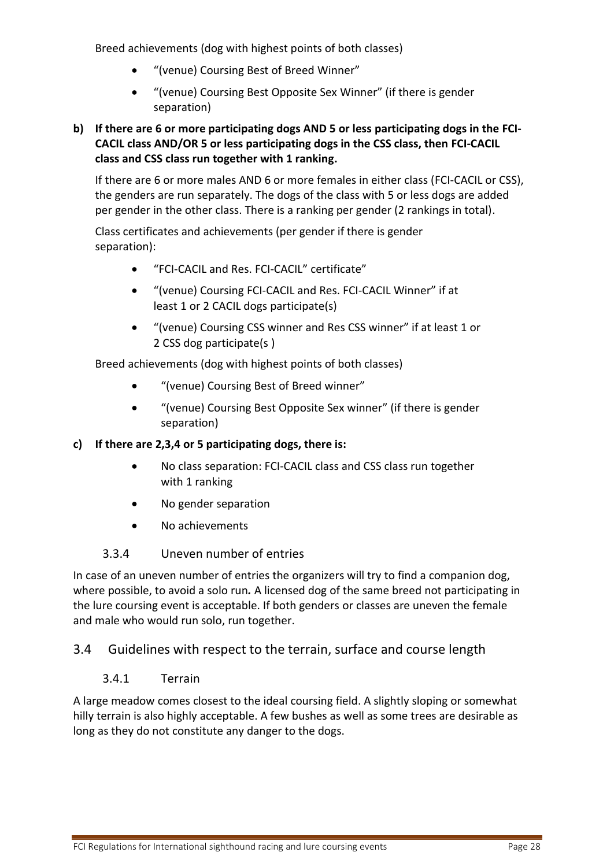Breed achievements (dog with highest points of both classes)

- "(venue) Coursing Best of Breed Winner"
- "(venue) Coursing Best Opposite Sex Winner" (if there is gender separation)

#### **b) If there are 6 or more participating dogs AND 5 or less participating dogs in the FCI-CACIL class AND/OR 5 or less participating dogs in the CSS class, then FCI-CACIL class and CSS class run together with 1 ranking.**

If there are 6 or more males AND 6 or more females in either class (FCI-CACIL or CSS), the genders are run separately. The dogs of the class with 5 or less dogs are added per gender in the other class. There is a ranking per gender (2 rankings in total).

Class certificates and achievements (per gender if there is gender separation):

- "FCI-CACIL and Res. FCI-CACIL" certificate"
- "(venue) Coursing FCI-CACIL and Res. FCI-CACIL Winner" if at least 1 or 2 CACIL dogs participate(s)
- "(venue) Coursing CSS winner and Res CSS winner" if at least 1 or 2 CSS dog participate(s )

Breed achievements (dog with highest points of both classes)

- "(venue) Coursing Best of Breed winner"
- "(venue) Coursing Best Opposite Sex winner" (if there is gender separation)

#### **c) If there are 2,3,4 or 5 participating dogs, there is:**

- No class separation: FCI-CACIL class and CSS class run together with 1 ranking
- No gender separation
- No achievements

#### 3.3.4 Uneven number of entries

<span id="page-27-0"></span>In case of an uneven number of entries the organizers will try to find a companion dog, where possible, to avoid a solo run*.* A licensed dog of the same breed not participating in the lure coursing event is acceptable. If both genders or classes are uneven the female and male who would run solo, run together.

## <span id="page-27-2"></span><span id="page-27-1"></span>3.4 Guidelines with respect to the terrain, surface and course length

#### 3.4.1 Terrain

A large meadow comes closest to the ideal coursing field. A slightly sloping or somewhat hilly terrain is also highly acceptable. A few bushes as well as some trees are desirable as long as they do not constitute any danger to the dogs.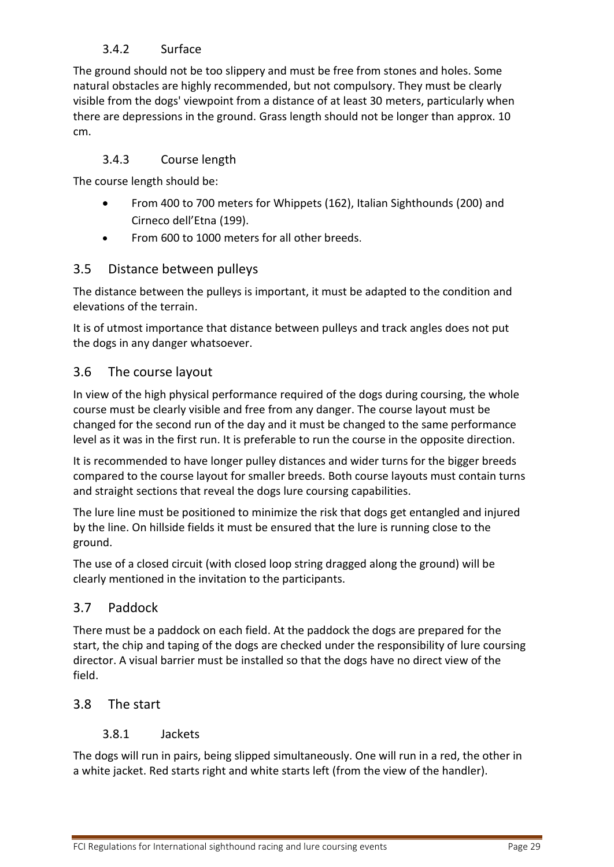# 3.4.2 Surface

<span id="page-28-0"></span>The ground should not be too slippery and must be free from stones and holes. Some natural obstacles are highly recommended, but not compulsory. They must be clearly visible from the dogs' viewpoint from a distance of at least 30 meters, particularly when there are depressions in the ground. Grass length should not be longer than approx. 10 cm.

#### 3.4.3 Course length

<span id="page-28-1"></span>The course length should be:

- From 400 to 700 meters for Whippets (162), Italian Sighthounds (200) and Cirneco dell'Etna (199).
- From 600 to 1000 meters for all other breeds.

#### <span id="page-28-2"></span>3.5 Distance between pulleys

The distance between the pulleys is important, it must be adapted to the condition and elevations of the terrain.

It is of utmost importance that distance between pulleys and track angles does not put the dogs in any danger whatsoever.

#### <span id="page-28-3"></span>3.6 The course layout

In view of the high physical performance required of the dogs during coursing, the whole course must be clearly visible and free from any danger. The course layout must be changed for the second run of the day and it must be changed to the same performance level as it was in the first run. It is preferable to run the course in the opposite direction.

It is recommended to have longer pulley distances and wider turns for the bigger breeds compared to the course layout for smaller breeds. Both course layouts must contain turns and straight sections that reveal the dogs lure coursing capabilities.

The lure line must be positioned to minimize the risk that dogs get entangled and injured by the line. On hillside fields it must be ensured that the lure is running close to the ground.

The use of a closed circuit (with closed loop string dragged along the ground) will be clearly mentioned in the invitation to the participants.

## <span id="page-28-4"></span>3.7 Paddock

There must be a paddock on each field. At the paddock the dogs are prepared for the start, the chip and taping of the dogs are checked under the responsibility of lure coursing director. A visual barrier must be installed so that the dogs have no direct view of the field.

#### <span id="page-28-6"></span><span id="page-28-5"></span>3.8 The start

#### 3.8.1 Jackets

The dogs will run in pairs, being slipped simultaneously. One will run in a red, the other in a white jacket. Red starts right and white starts left (from the view of the handler).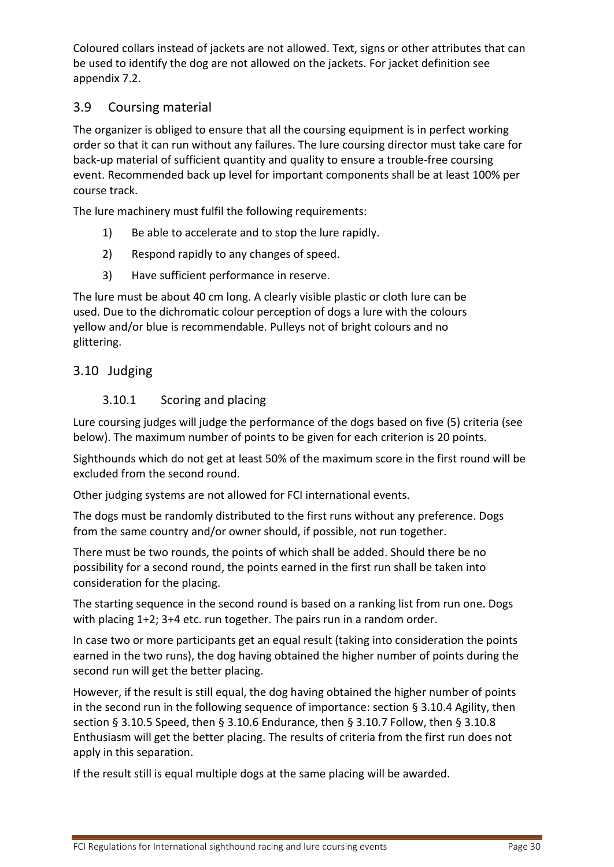Coloured collars instead of jackets are not allowed. Text, signs or other attributes that can be used to identify the dog are not allowed on the jackets. For jacket definition see appendix [7.2.](#page-44-2)

# <span id="page-29-0"></span>3.9 Coursing material

The organizer is obliged to ensure that all the coursing equipment is in perfect working order so that it can run without any failures. The lure coursing director must take care for back-up material of sufficient quantity and quality to ensure a trouble-free coursing event. Recommended back up level for important components shall be at least 100% per course track.

The lure machinery must fulfil the following requirements:

- 1) Be able to accelerate and to stop the lure rapidly.
- 2) Respond rapidly to any changes of speed.
- 3) Have sufficient performance in reserve.

The lure must be about 40 cm long. A clearly visible plastic or cloth lure can be used. Due to the dichromatic colour perception of dogs a lure with the colours yellow and/or blue is recommendable. Pulleys not of bright colours and no glittering.

## <span id="page-29-2"></span><span id="page-29-1"></span>3.10 Judging

## 3.10.1 Scoring and placing

Lure coursing judges will judge the performance of the dogs based on five (5) criteria (see below). The maximum number of points to be given for each criterion is 20 points.

Sighthounds which do not get at least 50% of the maximum score in the first round will be excluded from the second round.

Other judging systems are not allowed for FCI international events.

The dogs must be randomly distributed to the first runs without any preference. Dogs from the same country and/or owner should, if possible, not run together.

There must be two rounds, the points of which shall be added. Should there be no possibility for a second round, the points earned in the first run shall be taken into consideration for the placing.

The starting sequence in the second round is based on a ranking list from run one. Dogs with placing 1+2; 3+4 etc. run together. The pairs run in a random order.

In case two or more participants get an equal result (taking into consideration the points earned in the two runs), the dog having obtained the higher number of points during the second run will get the better placing.

However, if the result is still equal, the dog having obtained the higher number of points in the second run in the following sequence of importance: section § [3.10.4](#page-30-2) Agility, then section § [3.10.5](#page-30-3) Speed, then § [3.10.6](#page-31-0) Endurance, then § [3.10.7](#page-31-1) Follow, then § [3.10.8](#page-31-2) Enthusiasm will get the better placing. The results of criteria from the first run does not apply in this separation.

If the result still is equal multiple dogs at the same placing will be awarded.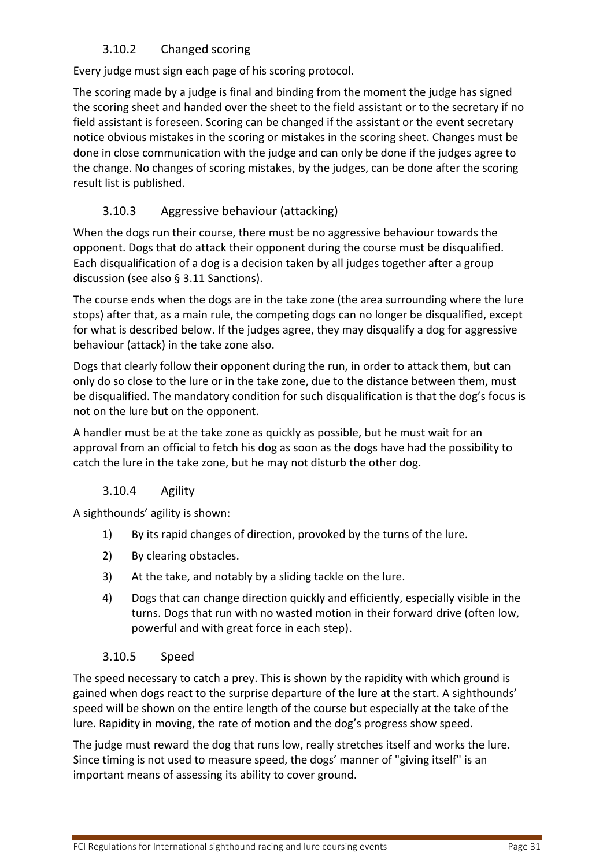# 3.10.2 Changed scoring

<span id="page-30-0"></span>Every judge must sign each page of his scoring protocol.

The scoring made by a judge is final and binding from the moment the judge has signed the scoring sheet and handed over the sheet to the field assistant or to the secretary if no field assistant is foreseen. Scoring can be changed if the assistant or the event secretary notice obvious mistakes in the scoring or mistakes in the scoring sheet. Changes must be done in close communication with the judge and can only be done if the judges agree to the change. No changes of scoring mistakes, by the judges, can be done after the scoring result list is published.

# 3.10.3 Aggressive behaviour (attacking)

<span id="page-30-1"></span>When the dogs run their course, there must be no aggressive behaviour towards the opponent. Dogs that do attack their opponent during the course must be disqualified. Each disqualification of a dog is a decision taken by all judges together after a group discussion (see also § [3.11](#page-32-0) Sanctions).

The course ends when the dogs are in the take zone (the area surrounding where the lure stops) after that, as a main rule, the competing dogs can no longer be disqualified, except for what is described below. If the judges agree, they may disqualify a dog for aggressive behaviour (attack) in the take zone also.

Dogs that clearly follow their opponent during the run, in order to attack them, but can only do so close to the lure or in the take zone, due to the distance between them, must be disqualified. The mandatory condition for such disqualification is that the dog's focus is not on the lure but on the opponent.

A handler must be at the take zone as quickly as possible, but he must wait for an approval from an official to fetch his dog as soon as the dogs have had the possibility to catch the lure in the take zone, but he may not disturb the other dog.

## 3.10.4 Agility

<span id="page-30-2"></span>A sighthounds' agility is shown:

- 1) By its rapid changes of direction, provoked by the turns of the lure.
- 2) By clearing obstacles.
- 3) At the take, and notably by a sliding tackle on the lure.
- 4) Dogs that can change direction quickly and efficiently, especially visible in the turns. Dogs that run with no wasted motion in their forward drive (often low, powerful and with great force in each step).

#### 3.10.5 Speed

<span id="page-30-3"></span>The speed necessary to catch a prey. This is shown by the rapidity with which ground is gained when dogs react to the surprise departure of the lure at the start. A sighthounds' speed will be shown on the entire length of the course but especially at the take of the lure. Rapidity in moving, the rate of motion and the dog's progress show speed.

The judge must reward the dog that runs low, really stretches itself and works the lure. Since timing is not used to measure speed, the dogs' manner of "giving itself" is an important means of assessing its ability to cover ground.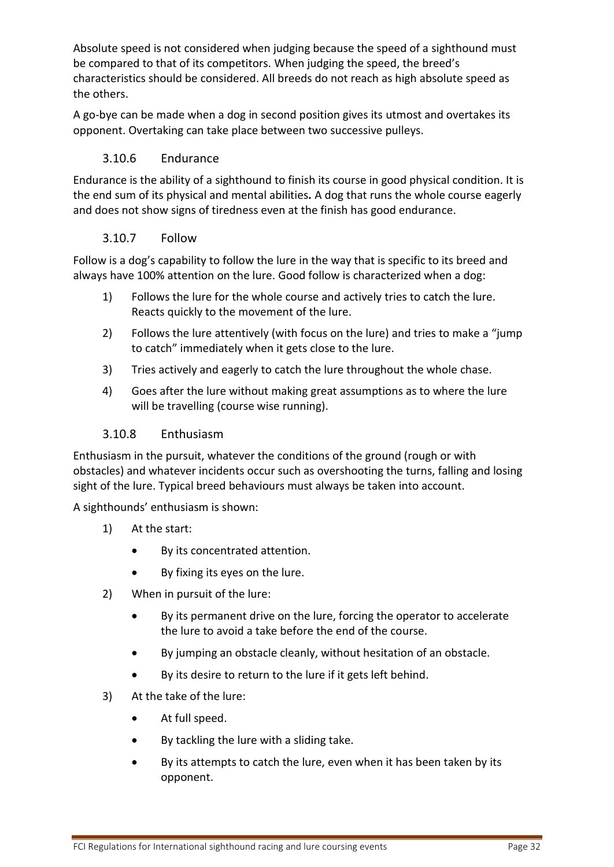Absolute speed is not considered when judging because the speed of a sighthound must be compared to that of its competitors. When judging the speed, the breed's characteristics should be considered. All breeds do not reach as high absolute speed as the others.

A go-bye can be made when a dog in second position gives its utmost and overtakes its opponent. Overtaking can take place between two successive pulleys.

#### 3.10.6 Endurance

<span id="page-31-0"></span>Endurance is the ability of a sighthound to finish its course in good physical condition. It is the end sum of its physical and mental abilities*.* A dog that runs the whole course eagerly and does not show signs of tiredness even at the finish has good endurance.

#### 3.10.7 Follow

<span id="page-31-1"></span>Follow is a dog's capability to follow the lure in the way that is specific to its breed and always have 100% attention on the lure. Good follow is characterized when a dog:

- 1) Follows the lure for the whole course and actively tries to catch the lure. Reacts quickly to the movement of the lure.
- 2) Follows the lure attentively (with focus on the lure) and tries to make a "jump to catch" immediately when it gets close to the lure.
- 3) Tries actively and eagerly to catch the lure throughout the whole chase.
- 4) Goes after the lure without making great assumptions as to where the lure will be travelling (course wise running).

#### <span id="page-31-2"></span>3.10.8 Enthusiasm

Enthusiasm in the pursuit, whatever the conditions of the ground (rough or with obstacles) and whatever incidents occur such as overshooting the turns, falling and losing sight of the lure. Typical breed behaviours must always be taken into account.

A sighthounds' enthusiasm is shown:

- 1) At the start:
	- By its concentrated attention.
	- By fixing its eyes on the lure.
- 2) When in pursuit of the lure:
	- By its permanent drive on the lure, forcing the operator to accelerate the lure to avoid a take before the end of the course.
	- By jumping an obstacle cleanly, without hesitation of an obstacle.
	- By its desire to return to the lure if it gets left behind.
- 3) At the take of the lure:
	- At full speed.
	- By tackling the lure with a sliding take.
	- By its attempts to catch the lure, even when it has been taken by its opponent.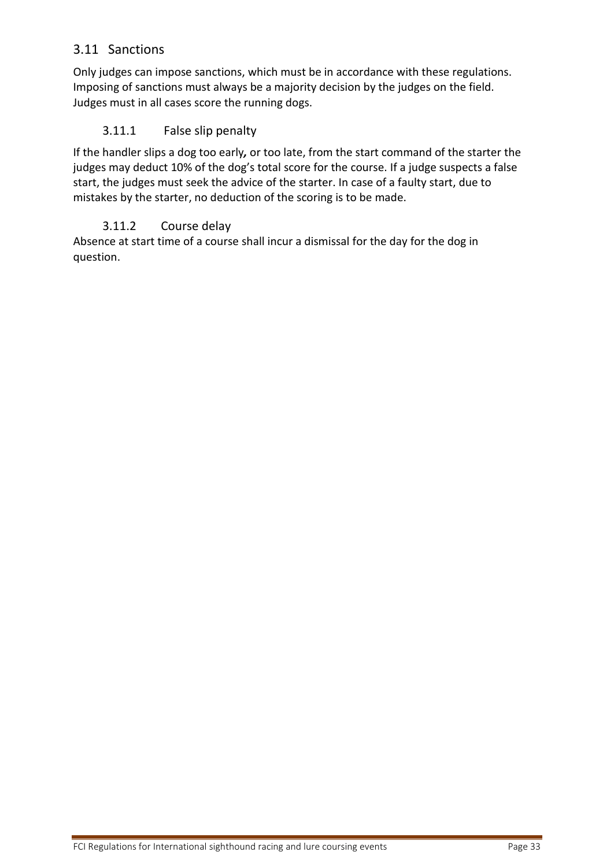# <span id="page-32-0"></span>3.11 Sanctions

Only judges can impose sanctions, which must be in accordance with these regulations. Imposing of sanctions must always be a majority decision by the judges on the field. Judges must in all cases score the running dogs.

## <span id="page-32-1"></span>3.11.1 False slip penalty

If the handler slips a dog too early*,* or too late, from the start command of the starter the judges may deduct 10% of the dog's total score for the course. If a judge suspects a false start, the judges must seek the advice of the starter. In case of a faulty start, due to mistakes by the starter, no deduction of the scoring is to be made.

## 3.11.2 Course delay

<span id="page-32-2"></span>Absence at start time of a course shall incur a dismissal for the day for the dog in question.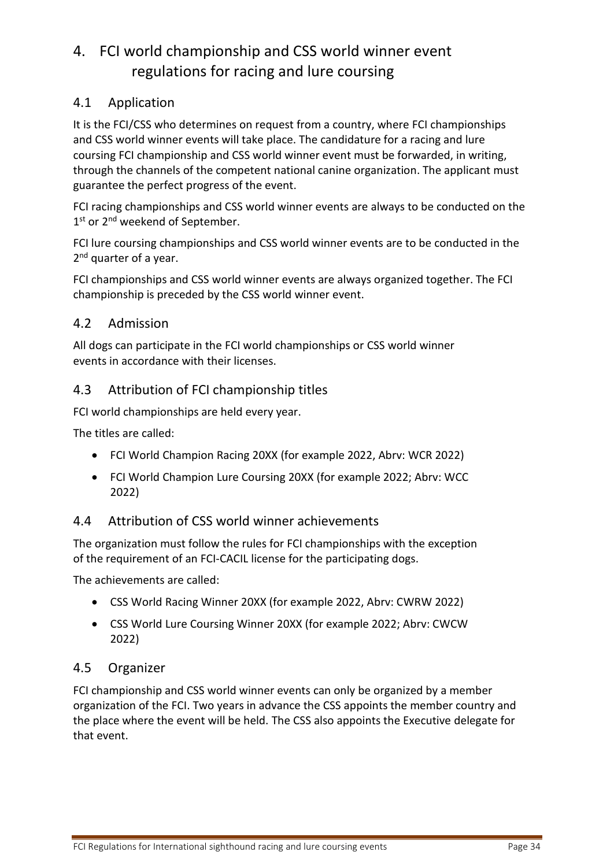# <span id="page-33-0"></span>4. FCI world championship and CSS world winner event regulations for racing and lure coursing

# <span id="page-33-1"></span>4.1 Application

It is the FCI/CSS who determines on request from a country, where FCI championships and CSS world winner events will take place. The candidature for a racing and lure coursing FCI championship and CSS world winner event must be forwarded, in writing, through the channels of the competent national canine organization. The applicant must guarantee the perfect progress of the event.

FCI racing championships and CSS world winner events are always to be conducted on the 1<sup>st</sup> or 2<sup>nd</sup> weekend of September.

FCI lure coursing championships and CSS world winner events are to be conducted in the 2<sup>nd</sup> quarter of a year.

FCI championships and CSS world winner events are always organized together. The FCI championship is preceded by the CSS world winner event.

## <span id="page-33-2"></span>4.2 Admission

All dogs can participate in the FCI world championships or CSS world winner events in accordance with their licenses.

# <span id="page-33-3"></span>4.3 Attribution of FCI championship titles

FCI world championships are held every year.

The titles are called:

- FCI World Champion Racing 20XX (for example 2022, Abrv: WCR 2022)
- FCI World Champion Lure Coursing 20XX (for example 2022; Abrv: WCC 2022)

## <span id="page-33-4"></span>4.4 Attribution of CSS world winner achievements

The organization must follow the rules for FCI championships with the exception of the requirement of an FCI-CACIL license for the participating dogs.

The achievements are called:

- CSS World Racing Winner 20XX (for example 2022, Abrv: CWRW 2022)
- CSS World Lure Coursing Winner 20XX (for example 2022; Abrv: CWCW 2022)

## <span id="page-33-5"></span>4.5 Organizer

FCI championship and CSS world winner events can only be organized by a member organization of the FCI. Two years in advance the CSS appoints the member country and the place where the event will be held. The CSS also appoints the Executive delegate for that event.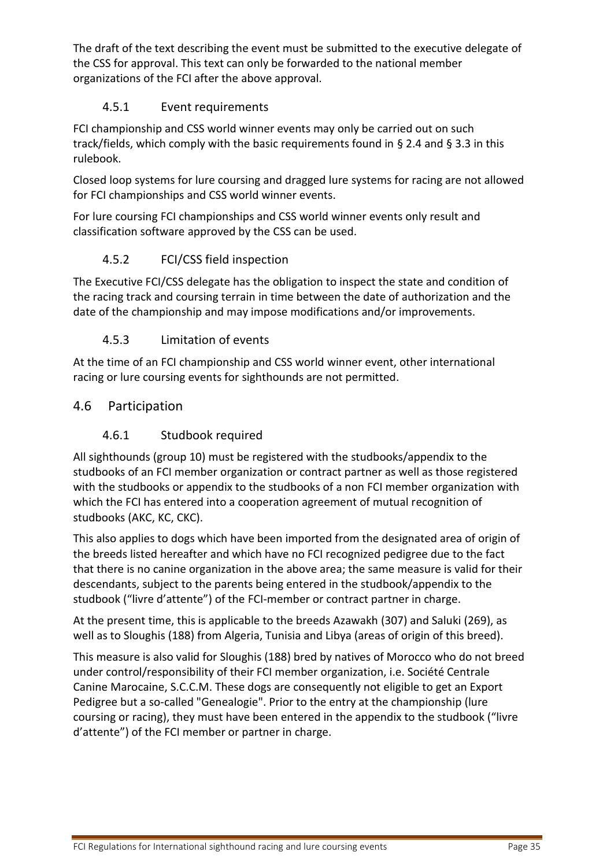The draft of the text describing the event must be submitted to the executive delegate of the CSS for approval. This text can only be forwarded to the national member organizations of the FCI after the above approval.

# 4.5.1 Event requirements

<span id="page-34-0"></span>FCI championship and CSS world winner events may only be carried out on such track/fields, which comply with the basic requirements found in [§ 2.4](#page-21-2) and § [3.3](#page-26-1) in this rulebook.

Closed loop systems for lure coursing and dragged lure systems for racing are not allowed for FCI championships and CSS world winner events.

For lure coursing FCI championships and CSS world winner events only result and classification software approved by the CSS can be used.

# 4.5.2 FCI/CSS field inspection

<span id="page-34-1"></span>The Executive FCI/CSS delegate has the obligation to inspect the state and condition of the racing track and coursing terrain in time between the date of authorization and the date of the championship and may impose modifications and/or improvements.

## 4.5.3 Limitation of events

<span id="page-34-2"></span>At the time of an FCI championship and CSS world winner event, other international racing or lure coursing events for sighthounds are not permitted.

# <span id="page-34-4"></span><span id="page-34-3"></span>4.6 Participation

# 4.6.1 Studbook required

All sighthounds (group 10) must be registered with the studbooks/appendix to the studbooks of an FCI member organization or contract partner as well as those registered with the studbooks or appendix to the studbooks of a non FCI member organization with which the FCI has entered into a cooperation agreement of mutual recognition of studbooks (AKC, KC, CKC).

This also applies to dogs which have been imported from the designated area of origin of the breeds listed hereafter and which have no FCI recognized pedigree due to the fact that there is no canine organization in the above area; the same measure is valid for their descendants, subject to the parents being entered in the studbook/appendix to the studbook ("livre d'attente") of the FCI-member or contract partner in charge.

At the present time, this is applicable to the breeds Azawakh (307) and Saluki (269), as well as to Sloughis (188) from Algeria, Tunisia and Libya (areas of origin of this breed).

This measure is also valid for Sloughis (188) bred by natives of Morocco who do not breed under control/responsibility of their FCI member organization, i.e. Société Centrale Canine Marocaine, S.C.C.M. These dogs are consequently not eligible to get an Export Pedigree but a so-called "Genealogie". Prior to the entry at the championship (lure coursing or racing), they must have been entered in the appendix to the studbook ("livre d'attente") of the FCI member or partner in charge.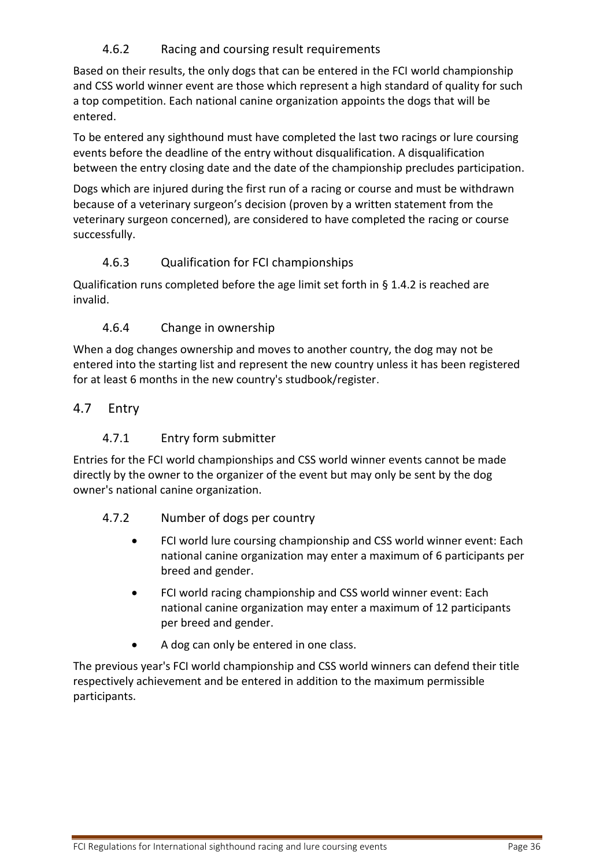## 4.6.2 Racing and coursing result requirements

<span id="page-35-0"></span>Based on their results, the only dogs that can be entered in the FCI world championship and CSS world winner event are those which represent a high standard of quality for such a top competition. Each national canine organization appoints the dogs that will be entered.

To be entered any sighthound must have completed the last two racings or lure coursing events before the deadline of the entry without disqualification. A disqualification between the entry closing date and the date of the championship precludes participation.

Dogs which are injured during the first run of a racing or course and must be withdrawn because of a veterinary surgeon's decision (proven by a written statement from the veterinary surgeon concerned), are considered to have completed the racing or course successfully.

# 4.6.3 Qualification for FCI championships

<span id="page-35-1"></span>Qualification runs completed before the age limit set forth in § [1.4.2](#page-8-2) is reached are invalid.

## 4.6.4 Change in ownership

<span id="page-35-2"></span>When a dog changes ownership and moves to another country, the dog may not be entered into the starting list and represent the new country unless it has been registered for at least 6 months in the new country's studbook/register.

# <span id="page-35-4"></span><span id="page-35-3"></span>4.7 Entry

# 4.7.1 Entry form submitter

Entries for the FCI world championships and CSS world winner events cannot be made directly by the owner to the organizer of the event but may only be sent by the dog owner's national canine organization.

## <span id="page-35-5"></span>4.7.2 Number of dogs per country

- FCI world lure coursing championship and CSS world winner event: Each national canine organization may enter a maximum of 6 participants per breed and gender.
- FCI world racing championship and CSS world winner event: Each national canine organization may enter a maximum of 12 participants per breed and gender.
- A dog can only be entered in one class.

The previous year's FCI world championship and CSS world winners can defend their title respectively achievement and be entered in addition to the maximum permissible participants.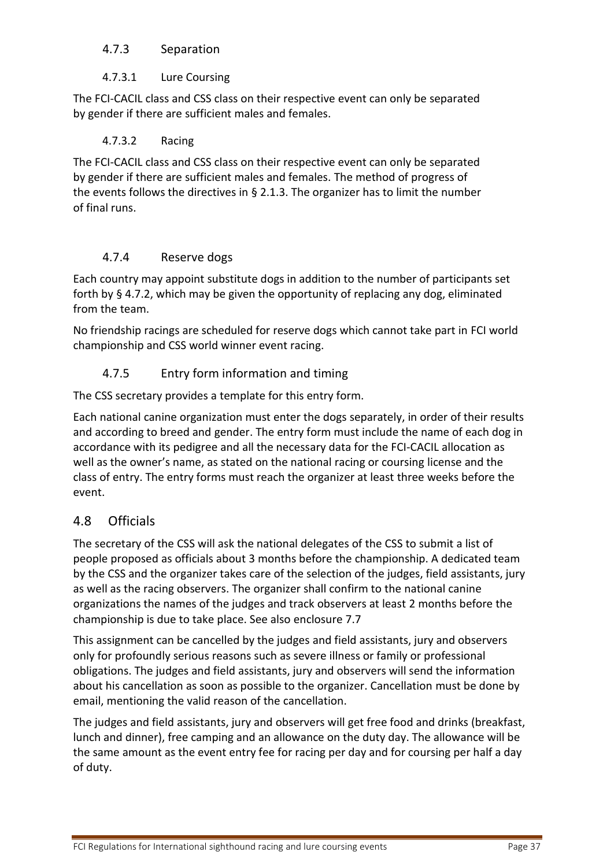#### <span id="page-36-0"></span>4.7.3 Separation

#### 4.7.3.1 Lure Coursing

<span id="page-36-1"></span>The FCI-CACIL class and CSS class on their respective event can only be separated by gender if there are sufficient males and females.

#### 4.7.3.2 Racing

<span id="page-36-2"></span>The FCI-CACIL class and CSS class on their respective event can only be separated by gender if there are sufficient males and females. The method of progress of the events follows the directives in  $\S$  2.1.3. The organizer has to limit the number of final runs.

#### 4.7.4 Reserve dogs

<span id="page-36-3"></span>Each country may appoint substitute dogs in addition to the number of participants set forth by § [4.7.2,](#page-35-5) which may be given the opportunity of replacing any dog, eliminated from the team.

No friendship racings are scheduled for reserve dogs which cannot take part in FCI world championship and CSS world winner event racing.

# 4.7.5 Entry form information and timing

<span id="page-36-4"></span>The CSS secretary provides a template for this entry form.

Each national canine organization must enter the dogs separately, in order of their results and according to breed and gender. The entry form must include the name of each dog in accordance with its pedigree and all the necessary data for the FCI-CACIL allocation as well as the owner's name, as stated on the national racing or coursing license and the class of entry. The entry forms must reach the organizer at least three weeks before the event.

## <span id="page-36-5"></span>4.8 Officials

The secretary of the CSS will ask the national delegates of the CSS to submit a list of people proposed as officials about 3 months before the championship. A dedicated team by the CSS and the organizer takes care of the selection of the judges, field assistants, jury as well as the racing observers. The organizer shall confirm to the national canine organizations the names of the judges and track observers at least 2 months before the championship is due to take place. See also enclosure [7.7](#page-47-7)

This assignment can be cancelled by the judges and field assistants, jury and observers only for profoundly serious reasons such as severe illness or family or professional obligations. The judges and field assistants, jury and observers will send the information about his cancellation as soon as possible to the organizer. Cancellation must be done by email, mentioning the valid reason of the cancellation.

The judges and field assistants, jury and observers will get free food and drinks (breakfast, lunch and dinner), free camping and an allowance on the duty day. The allowance will be the same amount as the event entry fee for racing per day and for coursing per half a day of duty.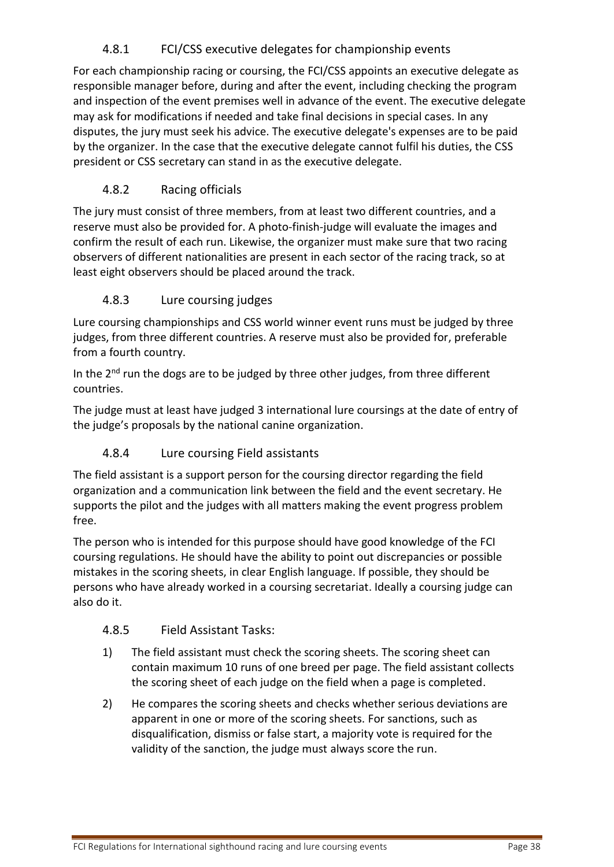# 4.8.1 FCI/CSS executive delegates for championship events

<span id="page-37-0"></span>For each championship racing or coursing, the FCI/CSS appoints an executive delegate as responsible manager before, during and after the event, including checking the program and inspection of the event premises well in advance of the event. The executive delegate may ask for modifications if needed and take final decisions in special cases. In any disputes, the jury must seek his advice. The executive delegate's expenses are to be paid by the organizer. In the case that the executive delegate cannot fulfil his duties, the CSS president or CSS secretary can stand in as the executive delegate.

# 4.8.2 Racing officials

<span id="page-37-1"></span>The jury must consist of three members, from at least two different countries, and a reserve must also be provided for. A photo-finish-judge will evaluate the images and confirm the result of each run. Likewise, the organizer must make sure that two racing observers of different nationalities are present in each sector of the racing track, so at least eight observers should be placed around the track.

# 4.8.3 Lure coursing judges

<span id="page-37-2"></span>Lure coursing championships and CSS world winner event runs must be judged by three judges, from three different countries. A reserve must also be provided for, preferable from a fourth country.

In the  $2^{nd}$  run the dogs are to be judged by three other judges, from three different countries.

The judge must at least have judged 3 international lure coursings at the date of entry of the judge's proposals by the national canine organization.

## 4.8.4 Lure coursing Field assistants

<span id="page-37-3"></span>The field assistant is a support person for the coursing director regarding the field organization and a communication link between the field and the event secretary. He supports the pilot and the judges with all matters making the event progress problem free.

The person who is intended for this purpose should have good knowledge of the FCI coursing regulations. He should have the ability to point out discrepancies or possible mistakes in the scoring sheets, in clear English language. If possible, they should be persons who have already worked in a coursing secretariat. Ideally a coursing judge can also do it.

## <span id="page-37-4"></span>4.8.5 Field Assistant Tasks:

- 1) The field assistant must check the scoring sheets. The scoring sheet can contain maximum 10 runs of one breed per page. The field assistant collects the scoring sheet of each judge on the field when a page is completed.
- 2) He compares the scoring sheets and checks whether serious deviations are apparent in one or more of the scoring sheets. For sanctions, such as disqualification, dismiss or false start, a majority vote is required for the validity of the sanction, the judge must always score the run.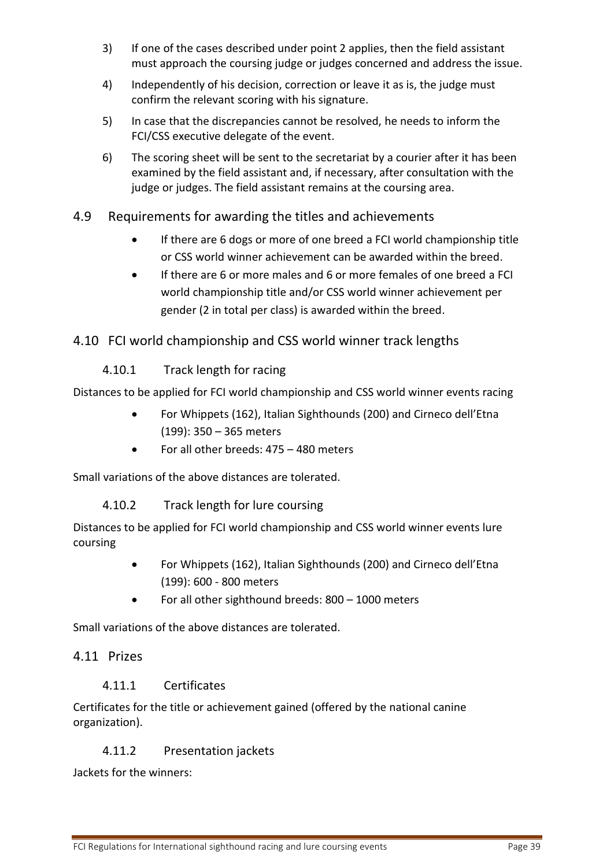- 3) If one of the cases described under point 2 applies, then the field assistant must approach the coursing judge or judges concerned and address the issue.
- 4) Independently of his decision, correction or leave it as is, the judge must confirm the relevant scoring with his signature.
- 5) In case that the discrepancies cannot be resolved, he needs to inform the FCI/CSS executive delegate of the event.
- 6) The scoring sheet will be sent to the secretariat by a courier after it has been examined by the field assistant and, if necessary, after consultation with the judge or judges. The field assistant remains at the coursing area.
- <span id="page-38-0"></span>4.9 Requirements for awarding the titles and achievements
	- If there are 6 dogs or more of one breed a FCI world championship title or CSS world winner achievement can be awarded within the breed.
	- If there are 6 or more males and 6 or more females of one breed a FCI world championship title and/or CSS world winner achievement per gender (2 in total per class) is awarded within the breed.

# <span id="page-38-1"></span>4.10 FCI world championship and CSS world winner track lengths

<span id="page-38-2"></span>4.10.1 Track length for racing

Distances to be applied for FCI world championship and CSS world winner events racing

- For Whippets (162), Italian Sighthounds (200) and Cirneco dell'Etna (199): 350 – 365 meters
- <span id="page-38-3"></span>• For all other breeds: 475 – 480 meters

Small variations of the above distances are tolerated.

4.10.2 Track length for lure coursing

Distances to be applied for FCI world championship and CSS world winner events lure coursing

- For Whippets (162), Italian Sighthounds (200) and Cirneco dell'Etna (199): 600 - 800 meters
- For all other sighthound breeds: 800 1000 meters

Small variations of the above distances are tolerated.

## <span id="page-38-4"></span>4.11 Prizes

## <span id="page-38-5"></span>4.11.1 Certificates

Certificates for the title or achievement gained (offered by the national canine organization).

# <span id="page-38-6"></span>4.11.2 Presentation jackets

Jackets for the winners: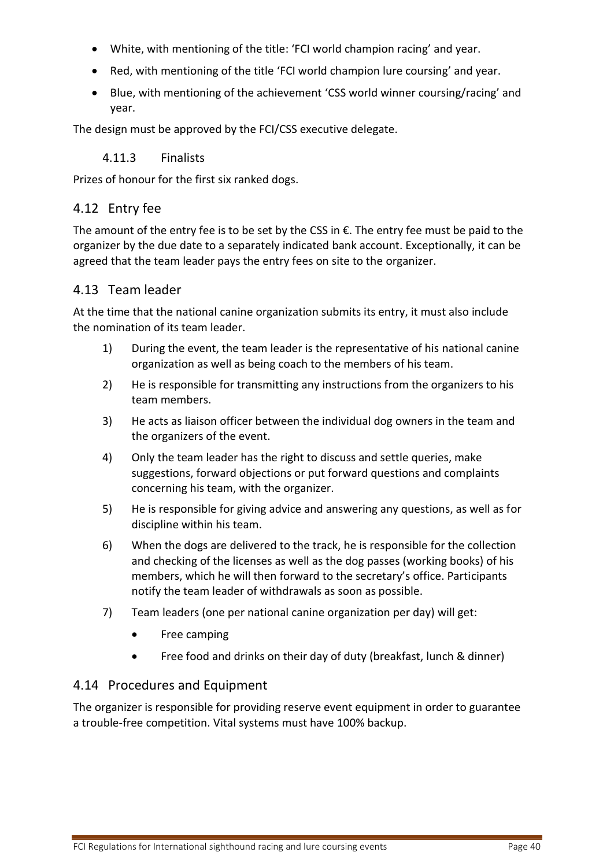- White, with mentioning of the title: 'FCI world champion racing' and year.
- Red, with mentioning of the title 'FCI world champion lure coursing' and year.
- Blue, with mentioning of the achievement 'CSS world winner coursing/racing' and year.

<span id="page-39-0"></span>The design must be approved by the FCI/CSS executive delegate.

#### 4.11.3 Finalists

Prizes of honour for the first six ranked dogs.

#### <span id="page-39-1"></span>4.12 Entry fee

The amount of the entry fee is to be set by the CSS in €. The entry fee must be paid to the organizer by the due date to a separately indicated bank account. Exceptionally, it can be agreed that the team leader pays the entry fees on site to the organizer.

#### <span id="page-39-2"></span>4.13 Team leader

At the time that the national canine organization submits its entry, it must also include the nomination of its team leader.

- 1) During the event, the team leader is the representative of his national canine organization as well as being coach to the members of his team.
- 2) He is responsible for transmitting any instructions from the organizers to his team members.
- 3) He acts as liaison officer between the individual dog owners in the team and the organizers of the event.
- 4) Only the team leader has the right to discuss and settle queries, make suggestions, forward objections or put forward questions and complaints concerning his team, with the organizer.
- 5) He is responsible for giving advice and answering any questions, as well as for discipline within his team.
- 6) When the dogs are delivered to the track, he is responsible for the collection and checking of the licenses as well as the dog passes (working books) of his members, which he will then forward to the secretary's office. Participants notify the team leader of withdrawals as soon as possible.
- 7) Team leaders (one per national canine organization per day) will get:
	- Free camping
	- Free food and drinks on their day of duty (breakfast, lunch & dinner)

#### <span id="page-39-3"></span>4.14 Procedures and Equipment

The organizer is responsible for providing reserve event equipment in order to guarantee a trouble-free competition. Vital systems must have 100% backup.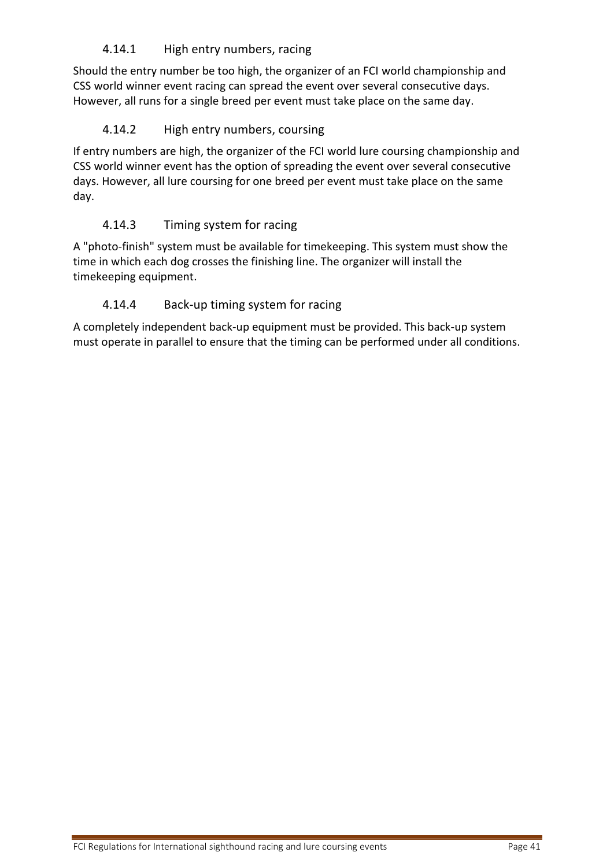# <span id="page-40-0"></span>4.14.1 High entry numbers, racing

Should the entry number be too high, the organizer of an FCI world championship and CSS world winner event racing can spread the event over several consecutive days. However, all runs for a single breed per event must take place on the same day.

# <span id="page-40-1"></span>4.14.2 High entry numbers, coursing

If entry numbers are high, the organizer of the FCI world lure coursing championship and CSS world winner event has the option of spreading the event over several consecutive days. However, all lure coursing for one breed per event must take place on the same day.

# <span id="page-40-2"></span>4.14.3 Timing system for racing

A "photo-finish" system must be available for timekeeping. This system must show the time in which each dog crosses the finishing line. The organizer will install the timekeeping equipment.

# <span id="page-40-3"></span>4.14.4 Back-up timing system for racing

A completely independent back-up equipment must be provided. This back-up system must operate in parallel to ensure that the timing can be performed under all conditions.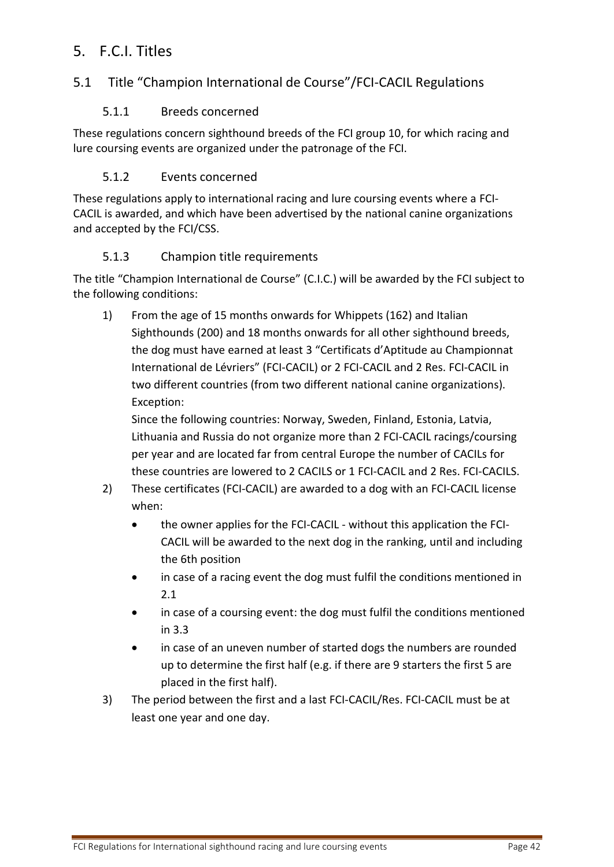# <span id="page-41-0"></span>5. F.C.I. Titles

# <span id="page-41-2"></span><span id="page-41-1"></span>5.1 Title "Champion International de Course"/FCI-CACIL Regulations

#### 5.1.1 Breeds concerned

These regulations concern sighthound breeds of the FCI group 10, for which racing and lure coursing events are organized under the patronage of the FCI.

#### 5.1.2 Events concerned

<span id="page-41-3"></span>These regulations apply to international racing and lure coursing events where a FCI-CACIL is awarded, and which have been advertised by the national canine organizations and accepted by the FCI/CSS.

#### 5.1.3 Champion title requirements

<span id="page-41-4"></span>The title "Champion International de Course" (C.I.C.) will be awarded by the FCI subject to the following conditions:

1) From the age of 15 months onwards for Whippets (162) and Italian Sighthounds (200) and 18 months onwards for all other sighthound breeds, the dog must have earned at least 3 "Certificats d'Aptitude au Championnat International de Lévriers" (FCI-CACIL) or 2 FCI-CACIL and 2 Res. FCI-CACIL in two different countries (from two different national canine organizations). Exception:

Since the following countries: Norway, Sweden, Finland, Estonia, Latvia, Lithuania and Russia do not organize more than 2 FCI-CACIL racings/coursing per year and are located far from central Europe the number of CACILs for these countries are lowered to 2 CACILS or 1 FCI-CACIL and 2 Res. FCI-CACILS.

- 2) These certificates (FCI-CACIL) are awarded to a dog with an FCI-CACIL license when:
	- the owner applies for the FCI-CACIL without this application the FCI-CACIL will be awarded to the next dog in the ranking, until and including the 6th position
	- in case of a racing event the dog must fulfil the conditions mentioned in 2.1
	- in case of a coursing event: the dog must fulfil the conditions mentioned in 3.3
	- in case of an uneven number of started dogs the numbers are rounded up to determine the first half (e.g. if there are 9 starters the first 5 are placed in the first half).
- 3) The period between the first and a last FCI-CACIL/Res. FCI-CACIL must be at least one year and one day.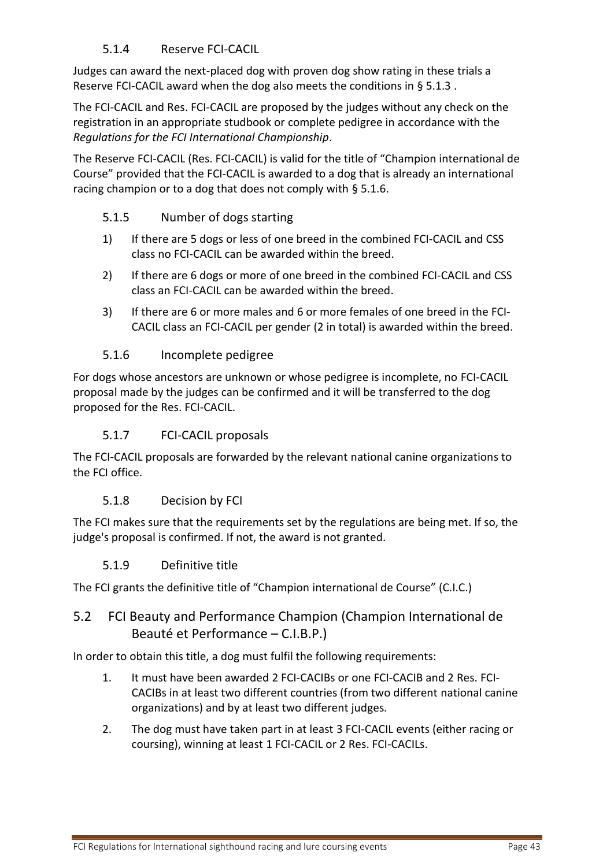#### 5.1.4 Reserve FCI-CACIL

<span id="page-42-0"></span>Judges can award the next-placed dog with proven dog show rating in these trials a Reserve FCI-CACIL award when the dog also meets the conditions in § [5.1.3 .](#page-41-4)

The FCI-CACIL and Res. FCI-CACIL are proposed by the judges without any check on the registration in an appropriate studbook or complete pedigree in accordance with the *Regulations for the FCI International Championship*.

The Reserve FCI-CACIL (Res. FCI-CACIL) is valid for the title of "Champion international de Course" provided that the FCI-CACIL is awarded to a dog that is already an international racing champion or to a dog that does not comply with [§ 5.1.6.](#page-42-2)

#### <span id="page-42-1"></span>5.1.5 Number of dogs starting

- 1) If there are 5 dogs or less of one breed in the combined FCI-CACIL and CSS class no FCI-CACIL can be awarded within the breed.
- 2) If there are 6 dogs or more of one breed in the combined FCI-CACIL and CSS class an FCI-CACIL can be awarded within the breed.
- 3) If there are 6 or more males and 6 or more females of one breed in the FCI-CACIL class an FCI-CACIL per gender (2 in total) is awarded within the breed.

#### 5.1.6 Incomplete pedigree

<span id="page-42-2"></span>For dogs whose ancestors are unknown or whose pedigree is incomplete, no FCI-CACIL proposal made by the judges can be confirmed and it will be transferred to the dog proposed for the Res. FCI-CACIL.

#### 5.1.7 FCI-CACIL proposals

<span id="page-42-3"></span>The FCI-CACIL proposals are forwarded by the relevant national canine organizations to the FCI office.

#### 5.1.8 Decision by FCI

<span id="page-42-4"></span>The FCI makes sure that the requirements set by the regulations are being met. If so, the judge's proposal is confirmed. If not, the award is not granted.

#### 5.1.9 Definitive title

<span id="page-42-5"></span>The FCI grants the definitive title of "Champion international de Course" (C.I.C.)

# <span id="page-42-6"></span>5.2 FCI Beauty and Performance Champion (Champion International de Beauté et Performance – C.I.B.P.)

In order to obtain this title, a dog must fulfil the following requirements:

- 1. It must have been awarded 2 FCI-CACIBs or one FCI-CACIB and 2 Res. FCI-CACIBs in at least two different countries (from two different national canine organizations) and by at least two different judges.
- 2. The dog must have taken part in at least 3 FCI-CACIL events (either racing or coursing), winning at least 1 FCI-CACIL or 2 Res. FCI-CACILs.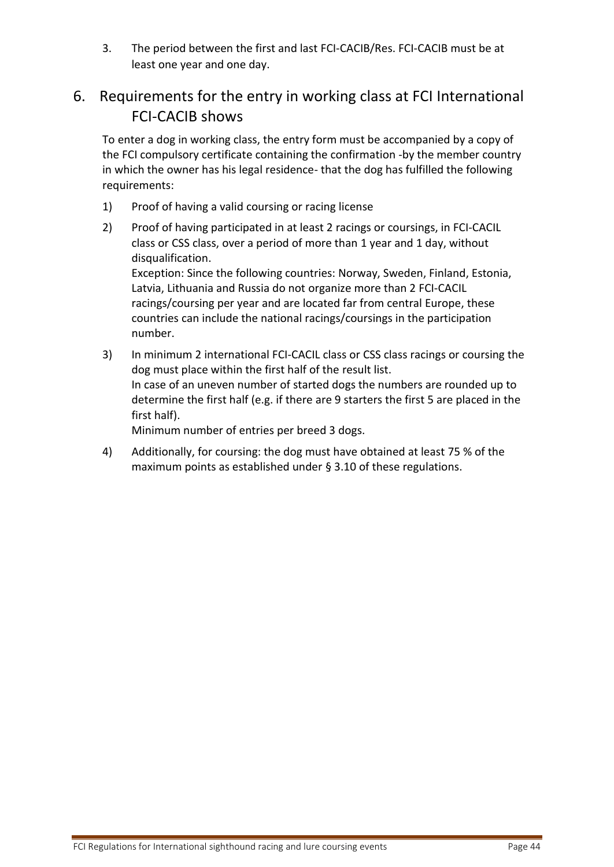3. The period between the first and last FCI-CACIB/Res. FCI-CACIB must be at least one year and one day.

# <span id="page-43-0"></span>6. Requirements for the entry in working class at FCI International FCI-CACIB shows

To enter a dog in working class, the entry form must be accompanied by a copy of the FCI compulsory certificate containing the confirmation -by the member country in which the owner has his legal residence- that the dog has fulfilled the following requirements:

- 1) Proof of having a valid coursing or racing license
- 2) Proof of having participated in at least 2 racings or coursings, in FCI-CACIL class or CSS class, over a period of more than 1 year and 1 day, without disqualification. Exception: Since the following countries: Norway, Sweden, Finland, Estonia, Latvia, Lithuania and Russia do not organize more than 2 FCI-CACIL

racings/coursing per year and are located far from central Europe, these countries can include the national racings/coursings in the participation number.

3) In minimum 2 international FCI-CACIL class or CSS class racings or coursing the dog must place within the first half of the result list. In case of an uneven number of started dogs the numbers are rounded up to determine the first half (e.g. if there are 9 starters the first 5 are placed in the first half).

Minimum number of entries per breed 3 dogs.

4) Additionally, for coursing: the dog must have obtained at least 75 % of the maximum points as established under § [3.10](#page-29-1) of these regulations.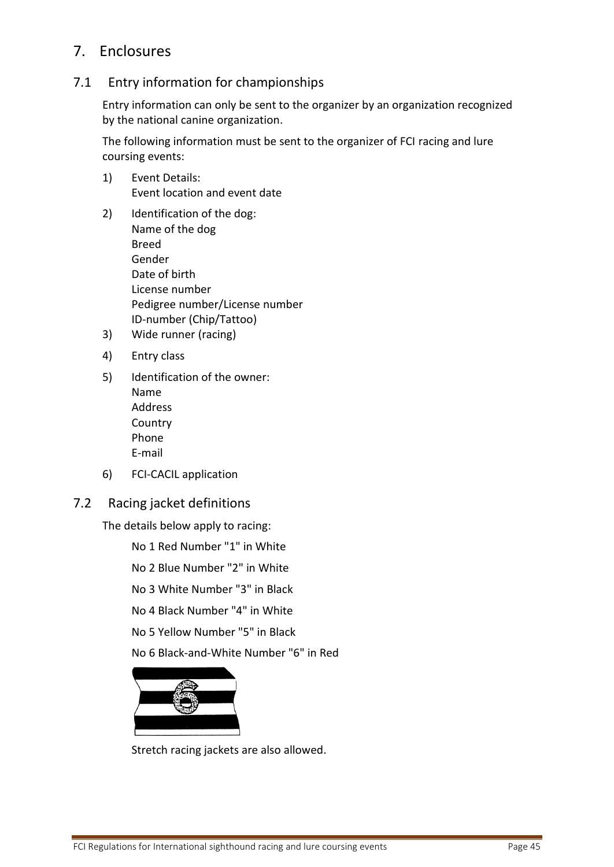# <span id="page-44-0"></span>7. Enclosures

# <span id="page-44-1"></span>7.1 Entry information for championships

Entry information can only be sent to the organizer by an organization recognized by the national canine organization.

The following information must be sent to the organizer of FCI racing and lure coursing events:

- 1) Event Details: Event location and event date
- 2) Identification of the dog: Name of the dog Breed Gender Date of birth License number Pedigree number/License number ID-number (Chip/Tattoo)
- 3) Wide runner (racing)
- 4) Entry class
- 5) Identification of the owner: Name Address Country Phone E-mail
- 6) FCI-CACIL application
- <span id="page-44-2"></span>7.2 Racing jacket definitions

The details below apply to racing:

No 1 Red Number "1" in White

No 2 Blue Number "2" in White

No 3 White Number "3" in Black

No 4 Black Number "4" in White

No 5 Yellow Number "5" in Black

No 6 Black-and-White Number "6" in Red



Stretch racing jackets are also allowed.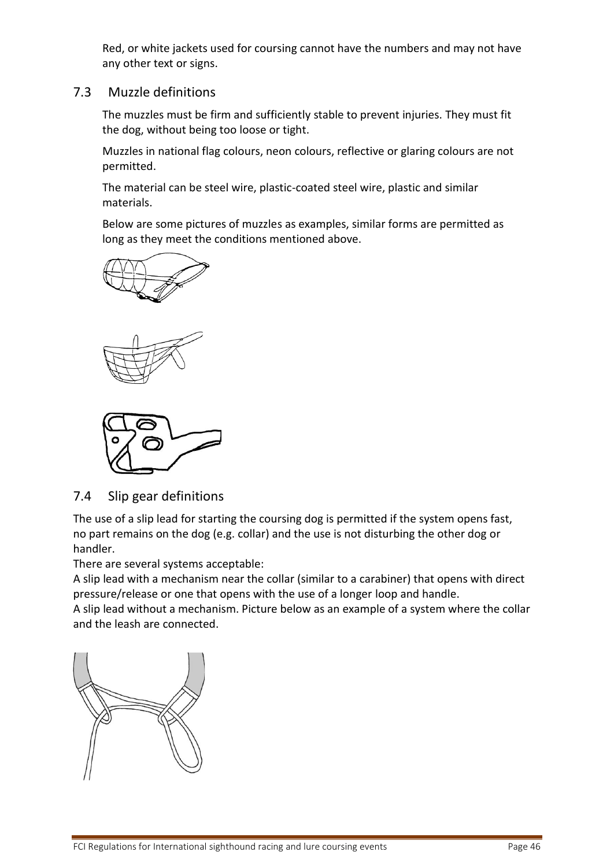Red, or white jackets used for coursing cannot have the numbers and may not have any other text or signs.

#### <span id="page-45-0"></span>7.3 Muzzle definitions

The muzzles must be firm and sufficiently stable to prevent injuries. They must fit the dog, without being too loose or tight.

Muzzles in national flag colours, neon colours, reflective or glaring colours are not permitted.

The material can be steel wire, plastic-coated steel wire, plastic and similar materials.

Below are some pictures of muzzles as examples, similar forms are permitted as long as they meet the conditions mentioned above.







## <span id="page-45-1"></span>7.4 Slip gear definitions

The use of a slip lead for starting the coursing dog is permitted if the system opens fast, no part remains on the dog (e.g. collar) and the use is not disturbing the other dog or handler.

There are several systems acceptable:

A slip lead with a mechanism near the collar (similar to a carabiner) that opens with direct pressure/release or one that opens with the use of a longer loop and handle.

A slip lead without a mechanism. Picture below as an example of a system where the collar and the leash are connected.

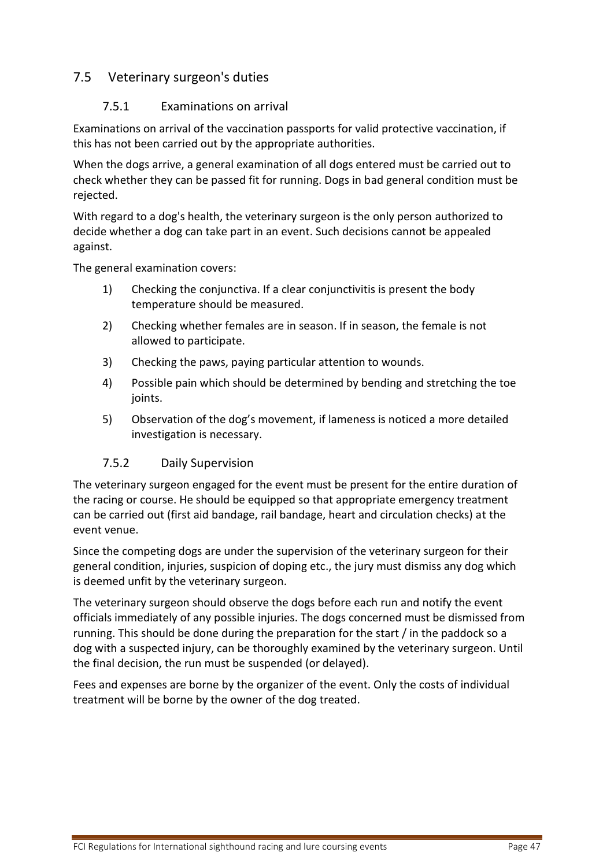# <span id="page-46-1"></span><span id="page-46-0"></span>7.5 Veterinary surgeon's duties

#### 7.5.1 Examinations on arrival

Examinations on arrival of the vaccination passports for valid protective vaccination, if this has not been carried out by the appropriate authorities.

When the dogs arrive, a general examination of all dogs entered must be carried out to check whether they can be passed fit for running. Dogs in bad general condition must be rejected.

With regard to a dog's health, the veterinary surgeon is the only person authorized to decide whether a dog can take part in an event. Such decisions cannot be appealed against.

The general examination covers:

- 1) Checking the conjunctiva. If a clear conjunctivitis is present the body temperature should be measured.
- 2) Checking whether females are in season. If in season, the female is not allowed to participate.
- 3) Checking the paws, paying particular attention to wounds.
- 4) Possible pain which should be determined by bending and stretching the toe joints.
- 5) Observation of the dog's movement, if lameness is noticed a more detailed investigation is necessary.

#### 7.5.2 Daily Supervision

<span id="page-46-2"></span>The veterinary surgeon engaged for the event must be present for the entire duration of the racing or course. He should be equipped so that appropriate emergency treatment can be carried out (first aid bandage, rail bandage, heart and circulation checks) at the event venue.

Since the competing dogs are under the supervision of the veterinary surgeon for their general condition, injuries, suspicion of doping etc., the jury must dismiss any dog which is deemed unfit by the veterinary surgeon.

The veterinary surgeon should observe the dogs before each run and notify the event officials immediately of any possible injuries. The dogs concerned must be dismissed from running. This should be done during the preparation for the start / in the paddock so a dog with a suspected injury, can be thoroughly examined by the veterinary surgeon. Until the final decision, the run must be suspended (or delayed).

Fees and expenses are borne by the organizer of the event. Only the costs of individual treatment will be borne by the owner of the dog treated.